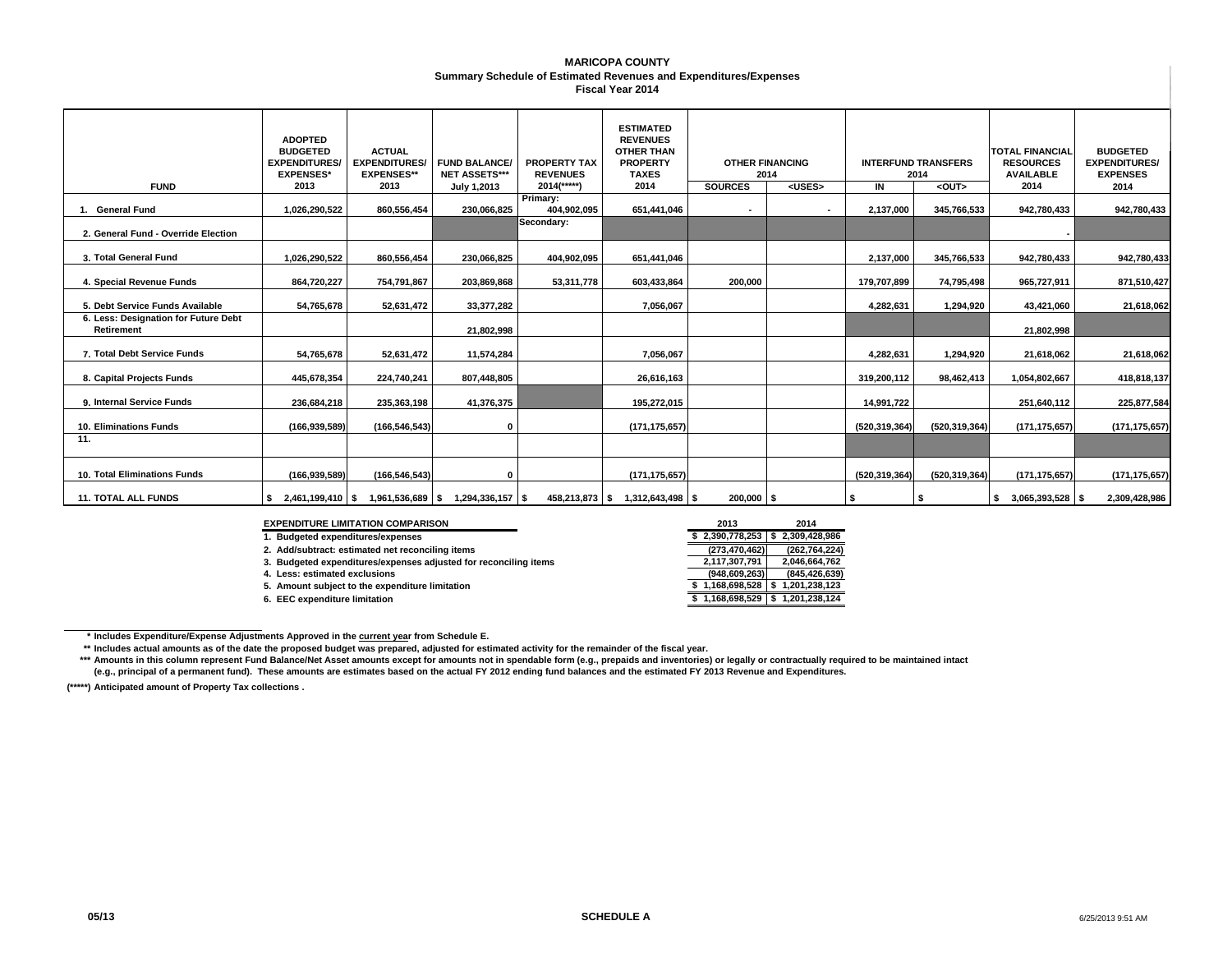#### **MARICOPA COUNTY Summary Schedule of Estimated Revenues and Expenditures/Expenses Fiscal Year 2014**

| <b>FUND</b>                                        | <b>ADOPTED</b><br><b>BUDGETED</b><br><b>EXPENDITURES/</b><br><b>EXPENSES*</b><br>2013 | <b>ACTUAL</b><br><b>EXPENDITURES/</b><br><b>EXPENSES**</b><br>2013 | <b>FUND BALANCE/</b><br><b>NET ASSETS***</b> | <b>PROPERTY TAX</b><br><b>REVENUES</b><br>$2014$ <sup>(*****</sup> ) | <b>ESTIMATED</b><br><b>REVENUES</b><br><b>OTHER THAN</b><br><b>PROPERTY</b><br><b>TAXES</b><br>2014 | <b>OTHER FINANCING</b><br>2014<br><b>SOURCES</b> |  | <b>INTERFUND TRANSFERS</b><br>2014<br><uses><br/>IN<br/><out></out></uses> |                 | <b>TOTAL FINANCIAL</b><br><b>RESOURCES</b><br><b>AVAILABLE</b><br>2014 | <b>BUDGETED</b><br><b>EXPENDITURES/</b><br><b>EXPENSES</b> |
|----------------------------------------------------|---------------------------------------------------------------------------------------|--------------------------------------------------------------------|----------------------------------------------|----------------------------------------------------------------------|-----------------------------------------------------------------------------------------------------|--------------------------------------------------|--|----------------------------------------------------------------------------|-----------------|------------------------------------------------------------------------|------------------------------------------------------------|
|                                                    |                                                                                       |                                                                    | July 1,2013                                  | Primary:                                                             |                                                                                                     |                                                  |  |                                                                            |                 |                                                                        | 2014                                                       |
| 1. General Fund                                    | 1,026,290,522                                                                         | 860,556,454                                                        | 230,066,825                                  | 404,902,095                                                          | 651,441,046                                                                                         | $\blacksquare$                                   |  | 2,137,000                                                                  | 345,766,533     | 942,780,433                                                            | 942,780,433                                                |
| 2. General Fund - Override Election                |                                                                                       |                                                                    |                                              | Secondary:                                                           |                                                                                                     |                                                  |  |                                                                            |                 |                                                                        |                                                            |
| 3. Total General Fund                              | 1,026,290,522                                                                         | 860,556,454                                                        | 230,066,825                                  | 404,902,095                                                          | 651,441,046                                                                                         |                                                  |  | 2,137,000                                                                  | 345,766,533     | 942,780,433                                                            | 942,780,433                                                |
| 4. Special Revenue Funds                           | 864,720,227                                                                           | 754,791,867                                                        | 203,869,868                                  | 53,311,778                                                           | 603.433.864                                                                                         | 200.000                                          |  | 179,707,899                                                                | 74,795,498      | 965,727,911                                                            | 871,510,427                                                |
| 5. Debt Service Funds Available                    | 54,765,678                                                                            | 52,631,472                                                         | 33, 377, 282                                 |                                                                      | 7,056,067                                                                                           |                                                  |  | 4,282,631                                                                  | 1,294,920       | 43,421,060                                                             | 21,618,062                                                 |
| 6. Less: Designation for Future Debt<br>Retirement |                                                                                       |                                                                    | 21.802.998                                   |                                                                      |                                                                                                     |                                                  |  |                                                                            |                 | 21.802.998                                                             |                                                            |
| 7. Total Debt Service Funds                        | 54,765,678                                                                            | 52,631,472                                                         | 11,574,284                                   |                                                                      | 7.056.067                                                                                           |                                                  |  | 4,282,631                                                                  | 1,294,920       | 21,618,062                                                             | 21,618,062                                                 |
| 8. Capital Projects Funds                          | 445,678,354                                                                           | 224,740,241                                                        | 807,448,805                                  |                                                                      | 26,616,163                                                                                          |                                                  |  | 319,200,112                                                                | 98,462,413      | 1,054,802,667                                                          | 418,818,137                                                |
| 9. Internal Service Funds                          | 236,684,218                                                                           | 235,363,198                                                        | 41,376,375                                   |                                                                      | 195,272,015                                                                                         |                                                  |  | 14,991,722                                                                 |                 | 251,640,112                                                            | 225,877,584                                                |
| 10. Eliminations Funds                             | (166, 939, 589)                                                                       | (166, 546, 543)                                                    | $\mathbf 0$                                  |                                                                      | (171, 175, 657)                                                                                     |                                                  |  | (520,319,364)                                                              | (520,319,364)   | (171, 175, 657)                                                        | (171, 175, 657)                                            |
| 11.                                                |                                                                                       |                                                                    |                                              |                                                                      |                                                                                                     |                                                  |  |                                                                            |                 |                                                                        |                                                            |
| 10. Total Eliminations Funds                       | (166, 939, 589)                                                                       | (166, 546, 543)                                                    | $\Omega$                                     |                                                                      | (171, 175, 657)                                                                                     |                                                  |  | (520,319,364)                                                              | (520, 319, 364) | (171, 175, 657)                                                        | (171, 175, 657)                                            |
| <b>11. TOTAL ALL FUNDS</b>                         |                                                                                       | 2,461,199,410 \$ 1,961,536,689 \$                                  | $1,294,336,157$ \$                           |                                                                      | 458,213,873 \$ 1,312,643,498 \$                                                                     | $200,000$ \$                                     |  | l \$                                                                       |                 | $$3,065,393,528$ \\$                                                   | 2,309,428,986                                              |

**EXPENDITURE LIMITATION COMPARISON** 

**1. Budgeted expenditures/expenses \$ 2,309,428,986 2,390,778,253 \$** 

**2. Add/subtract: estimated net reconciling items (273,470,462) (262,764,224)**

**3. Budgeted expenditures/expenses adjusted for reconciling items 2,046,664,762 2,117,307,791**

**4. Less: estimated exclusions (845,426,639) (948,609,263)**

**5. Amount subject to the expenditure limitation** 

**6. EEC expenditure limitation** 

| Ν                          | 2013            | 2014                |
|----------------------------|-----------------|---------------------|
|                            | \$2,390,778,253 | 2,309,428,986<br>\$ |
| g items                    | (273, 470, 462) | (262, 764, 224)     |
| sted for reconciling items | 2,117,307,791   | 2,046,664,762       |
|                            | (948, 609, 263) | (845, 426, 639)     |
| itation                    | 1,168,698,528   | 1,201,238,123       |
|                            | 1,168,698,529   | 1.201.238.124       |
|                            |                 |                     |

**\* Includes Expenditure/Expense Adjustments Approved in the current year from Schedule E.** 

**\*\*Includes actual amounts as of the date the proposed budget was prepared, adjusted for estimated activity for the remainder of the fiscal year.**

**\*\*\*** Amounts in this column represent Fund Balance/Net Asset amounts except for amounts not in spendable form (e.g., prepaids and inventories) or legally or contractually required to be maintained intact **(e.g., principal of a permanent fund). These amounts are estimates based on the actual FY 2012 ending fund balances and the estimated FY 2013 Revenue and Expenditures.**

**(\*\*\*\*\*) Anticipated amount of Property Tax collections .**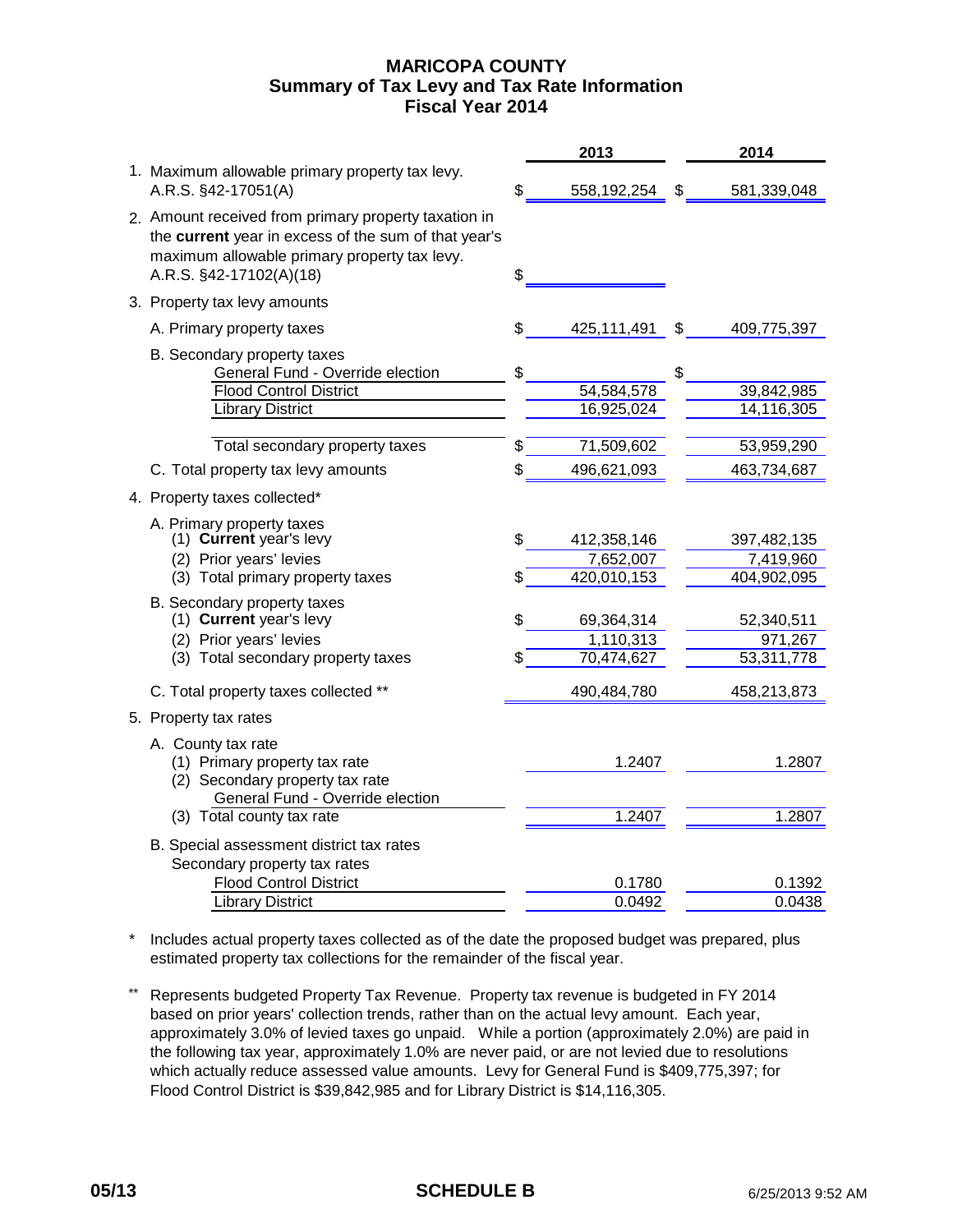# **MARICOPA COUNTY Fiscal Year 2014 Summary of Tax Levy and Tax Rate Information**

|                                                                                                                                                                                         |    | 2013                     | 2014                           |
|-----------------------------------------------------------------------------------------------------------------------------------------------------------------------------------------|----|--------------------------|--------------------------------|
| 1. Maximum allowable primary property tax levy.<br>A.R.S. §42-17051(A)                                                                                                                  | £  | 558,192,254              | \$<br>581,339,048              |
| 2. Amount received from primary property taxation in<br>the current year in excess of the sum of that year's<br>maximum allowable primary property tax levy.<br>A.R.S. §42-17102(A)(18) | \$ |                          |                                |
| 3. Property tax levy amounts                                                                                                                                                            |    |                          |                                |
| A. Primary property taxes                                                                                                                                                               | \$ | 425,111,491              | \$<br>409,775,397              |
| B. Secondary property taxes<br>General Fund - Override election<br><b>Flood Control District</b><br><b>Library District</b>                                                             | \$ | 54,584,578<br>16,925,024 | \$<br>39,842,985<br>14,116,305 |
| Total secondary property taxes                                                                                                                                                          | \$ | 71,509,602               | 53,959,290                     |
| C. Total property tax levy amounts                                                                                                                                                      | \$ | 496,621,093              | 463,734,687                    |
|                                                                                                                                                                                         |    |                          |                                |
| 4. Property taxes collected*                                                                                                                                                            |    |                          |                                |
| A. Primary property taxes<br>(1) Current year's levy                                                                                                                                    | \$ | 412,358,146              | 397,482,135                    |
| (2) Prior years' levies                                                                                                                                                                 |    | 7,652,007                | 7,419,960                      |
| (3) Total primary property taxes                                                                                                                                                        | \$ | 420,010,153              | 404,902,095                    |
| B. Secondary property taxes<br>(1) Current year's levy<br>(2) Prior years' levies                                                                                                       | \$ | 69,364,314<br>1,110,313  | 52,340,511<br>971,267          |
| (3) Total secondary property taxes                                                                                                                                                      | \$ | 70,474,627               | 53,311,778                     |
| C. Total property taxes collected **                                                                                                                                                    |    | 490,484,780              | 458,213,873                    |
| 5. Property tax rates                                                                                                                                                                   |    |                          |                                |
| A. County tax rate<br>(1) Primary property tax rate<br>(2) Secondary property tax rate<br>General Fund - Override election                                                              |    | 1.2407                   | 1.2807                         |
| (3) Total county tax rate                                                                                                                                                               |    | 1.2407                   | 1.2807                         |
| B. Special assessment district tax rates<br>Secondary property tax rates                                                                                                                |    |                          |                                |
| <b>Flood Control District</b>                                                                                                                                                           |    | 0.1780                   | 0.1392                         |
| <b>Library District</b>                                                                                                                                                                 |    | 0.0492                   | 0.0438                         |

\* Includes actual property taxes collected as of the date the proposed budget was prepared, plus estimated property tax collections for the remainder of the fiscal year.

\*\* Represents budgeted Property Tax Revenue. Property tax revenue is budgeted in FY 2014 based on prior years' collection trends, rather than on the actual levy amount. Each year, approximately 3.0% of levied taxes go unpaid. While a portion (approximately 2.0%) are paid in the following tax year, approximately 1.0% are never paid, or are not levied due to resolutions which actually reduce assessed value amounts. Levy for General Fund is \$409,775,397; for Flood Control District is \$39,842,985 and for Library District is \$14,116,305.

## **05/13 SCHEDULE B** 6/25/2013 9:52 AM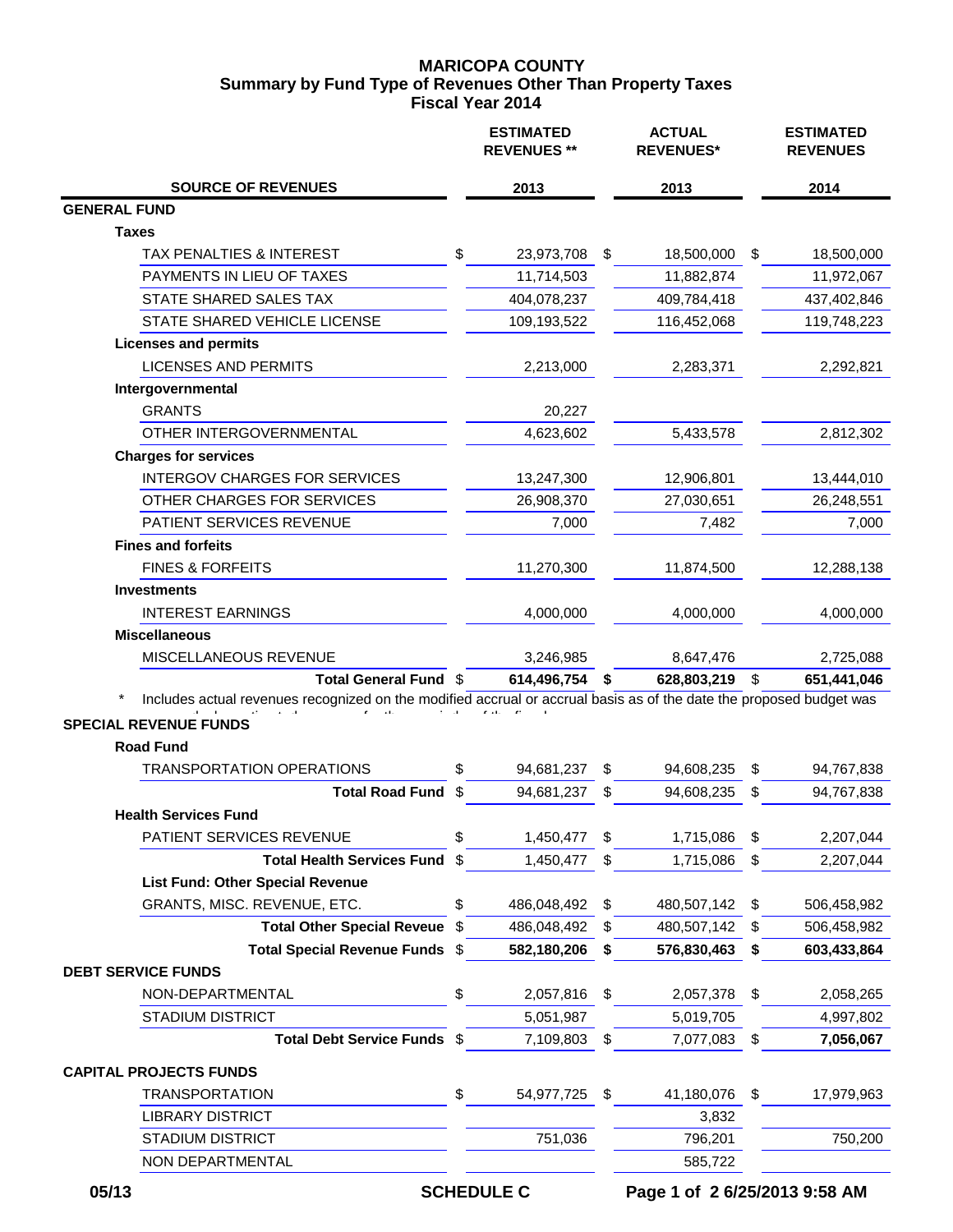# **MARICOPA COUNTY Fiscal Year 2014 Summary by Fund Type of Revenues Other Than Property Taxes**

|                                                                                                                     |     | <b>ESTIMATED</b><br><b>REVENUES **</b> | <b>ACTUAL</b><br><b>REVENUES*</b> |    | <b>ESTIMATED</b><br><b>REVENUES</b> |
|---------------------------------------------------------------------------------------------------------------------|-----|----------------------------------------|-----------------------------------|----|-------------------------------------|
| <b>SOURCE OF REVENUES</b>                                                                                           |     | 2013                                   | 2013                              |    | 2014                                |
| <b>GENERAL FUND</b>                                                                                                 |     |                                        |                                   |    |                                     |
| <b>Taxes</b>                                                                                                        |     |                                        |                                   |    |                                     |
| TAX PENALTIES & INTEREST                                                                                            | \$  | 23,973,708                             | \$<br>18,500,000                  | \$ | 18,500,000                          |
| PAYMENTS IN LIEU OF TAXES                                                                                           |     | 11,714,503                             | 11,882,874                        |    | 11,972,067                          |
| STATE SHARED SALES TAX                                                                                              |     | 404,078,237                            | 409,784,418                       |    | 437,402,846                         |
| STATE SHARED VEHICLE LICENSE                                                                                        |     | 109,193,522                            | 116,452,068                       |    | 119,748,223                         |
| <b>Licenses and permits</b>                                                                                         |     |                                        |                                   |    |                                     |
| <b>LICENSES AND PERMITS</b>                                                                                         |     | 2,213,000                              | 2,283,371                         |    | 2,292,821                           |
| Intergovernmental                                                                                                   |     |                                        |                                   |    |                                     |
| <b>GRANTS</b>                                                                                                       |     | 20,227                                 |                                   |    |                                     |
| OTHER INTERGOVERNMENTAL                                                                                             |     | 4,623,602                              | 5,433,578                         |    | 2,812,302                           |
| <b>Charges for services</b>                                                                                         |     |                                        |                                   |    |                                     |
| <b>INTERGOV CHARGES FOR SERVICES</b>                                                                                |     | 13,247,300                             | 12,906,801                        |    | 13,444,010                          |
| OTHER CHARGES FOR SERVICES                                                                                          |     | 26,908,370                             | 27,030,651                        |    | 26,248,551                          |
| PATIENT SERVICES REVENUE                                                                                            |     | 7,000                                  | 7,482                             |    | 7,000                               |
| <b>Fines and forfeits</b>                                                                                           |     |                                        |                                   |    |                                     |
| <b>FINES &amp; FORFEITS</b>                                                                                         |     | 11,270,300                             | 11,874,500                        |    | 12,288,138                          |
| <b>Investments</b>                                                                                                  |     |                                        |                                   |    |                                     |
| <b>INTEREST EARNINGS</b>                                                                                            |     | 4,000,000                              | 4,000,000                         |    | 4,000,000                           |
| <b>Miscellaneous</b>                                                                                                |     |                                        |                                   |    |                                     |
| MISCELLANEOUS REVENUE                                                                                               |     | 3,246,985                              | 8,647,476                         |    | 2,725,088                           |
| Total General Fund \$                                                                                               |     | 614,496,754                            | \$<br>628,803,219                 | \$ | 651,441,046                         |
| Includes actual revenues recognized on the modified accrual or accrual basis as of the date the proposed budget was |     |                                        |                                   |    |                                     |
| <b>SPECIAL REVENUE FUNDS</b>                                                                                        |     |                                        |                                   |    |                                     |
| <b>Road Fund</b>                                                                                                    |     |                                        |                                   |    |                                     |
| <b>TRANSPORTATION OPERATIONS</b>                                                                                    | \$  | 94,681,237                             | \$<br>94,608,235                  | \$ | 94,767,838                          |
| <b>Total Road Fund</b>                                                                                              | \$  | 94,681,237                             | \$<br>94,608,235                  | S  | 94,767,838                          |
| <b>Health Services Fund</b>                                                                                         |     |                                        |                                   |    |                                     |
| PATIENT SERVICES REVENUE                                                                                            | \$  | 1,450,477                              | \$<br>1,715,086                   | \$ | 2,207,044                           |
| <b>Total Health Services Fund</b>                                                                                   | \$  | 1,450,477                              | \$<br>1,715,086                   | \$ | 2,207,044                           |
| <b>List Fund: Other Special Revenue</b>                                                                             |     |                                        |                                   |    |                                     |
| GRANTS, MISC. REVENUE, ETC.                                                                                         | \$  | 486,048,492                            | \$<br>480,507,142                 | \$ | 506,458,982                         |
| <b>Total Other Special Reveue</b>                                                                                   | -\$ | 486,048,492                            | \$<br>480,507,142                 | S  | 506,458,982                         |
| Total Special Revenue Funds \$                                                                                      |     | 582,180,206                            | \$<br>576,830,463                 | \$ | 603,433,864                         |
| <b>DEBT SERVICE FUNDS</b>                                                                                           |     |                                        |                                   |    |                                     |
| NON-DEPARTMENTAL                                                                                                    | \$  | 2,057,816                              | \$<br>2,057,378                   | \$ | 2,058,265                           |
| <b>STADIUM DISTRICT</b>                                                                                             |     | 5,051,987                              | 5,019,705                         |    | 4,997,802                           |
| Total Debt Service Funds \$                                                                                         |     | 7,109,803                              | \$<br>7,077,083                   | \$ | 7,056,067                           |
| <b>CAPITAL PROJECTS FUNDS</b>                                                                                       |     |                                        |                                   |    |                                     |
| <b>TRANSPORTATION</b>                                                                                               | \$  | 54,977,725                             | \$<br>41,180,076                  | \$ | 17,979,963                          |
| <b>LIBRARY DISTRICT</b>                                                                                             |     |                                        | 3,832                             |    |                                     |
| <b>STADIUM DISTRICT</b>                                                                                             |     | 751,036                                | 796,201                           |    | 750,200                             |
| NON DEPARTMENTAL                                                                                                    |     |                                        | 585,722                           |    |                                     |

 **05/13 SCHEDULE C Page 1 of 2 6/25/2013 9:58 AM**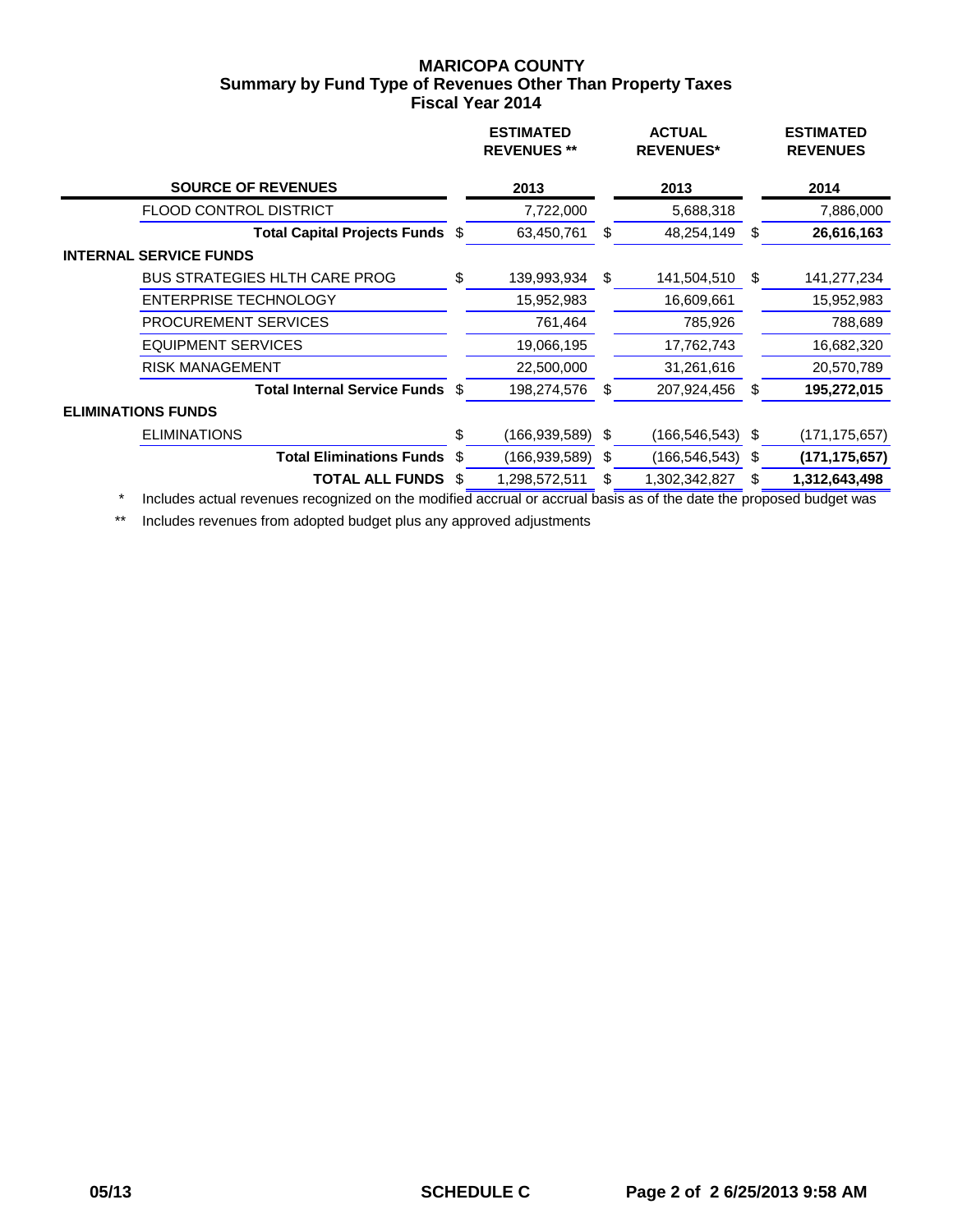## **MARICOPA COUNTY Fiscal Year 2014 Summary by Fund Type of Revenues Other Than Property Taxes**

|                           |                                      |    | <b>ESTIMATED</b><br><b>REVENUES **</b> |     | <b>ACTUAL</b><br><b>REVENUES*</b> |     | <b>ESTIMATED</b><br><b>REVENUES</b> |
|---------------------------|--------------------------------------|----|----------------------------------------|-----|-----------------------------------|-----|-------------------------------------|
|                           | <b>SOURCE OF REVENUES</b>            |    | 2013                                   |     | 2013                              |     | 2014                                |
|                           | <b>FLOOD CONTROL DISTRICT</b>        |    | 7,722,000                              |     | 5,688,318                         |     | 7,886,000                           |
|                           | Total Capital Projects Funds \$      |    | 63,450,761                             | \$  | 48,254,149                        | S   | 26,616,163                          |
|                           | <b>INTERNAL SERVICE FUNDS</b>        |    |                                        |     |                                   |     |                                     |
|                           | <b>BUS STRATEGIES HLTH CARE PROG</b> | \$ | 139,993,934                            | \$  | 141,504,510                       | \$. | 141,277,234                         |
|                           | <b>ENTERPRISE TECHNOLOGY</b>         |    | 15,952,983                             |     | 16,609,661                        |     | 15,952,983                          |
|                           | <b>PROCUREMENT SERVICES</b>          |    | 761,464                                |     | 785,926                           |     | 788,689                             |
|                           | <b>EQUIPMENT SERVICES</b>            |    | 19,066,195                             |     | 17,762,743                        |     | 16,682,320                          |
|                           | <b>RISK MANAGEMENT</b>               |    | 22,500,000                             |     | 31,261,616                        |     | 20,570,789                          |
|                           | Total Internal Service Funds \$      |    | 198,274,576                            | S   | 207,924,456                       | S   | 195,272,015                         |
| <b>ELIMINATIONS FUNDS</b> |                                      |    |                                        |     |                                   |     |                                     |
|                           | <b>ELIMINATIONS</b>                  | \$ | (166,939,589)                          | \$  | $(166, 546, 543)$ \$              |     | (171, 175, 657)                     |
|                           | <b>Total Eliminations Funds</b>      | \$ | (166, 939, 589)                        | -\$ | $(166, 546, 543)$ \$              |     | (171, 175, 657)                     |
|                           | <b>TOTAL ALL FUNDS</b>               | S  | 1,298,572,511                          | S   | 1,302,342,827                     | S   | 1,312,643,498                       |
|                           |                                      |    |                                        |     |                                   |     |                                     |

\* Includes actual revenues recognized on the modified accrual or accrual basis as of the date the proposed budget was

\*\* Includes revenues from adopted budget plus any approved adjustments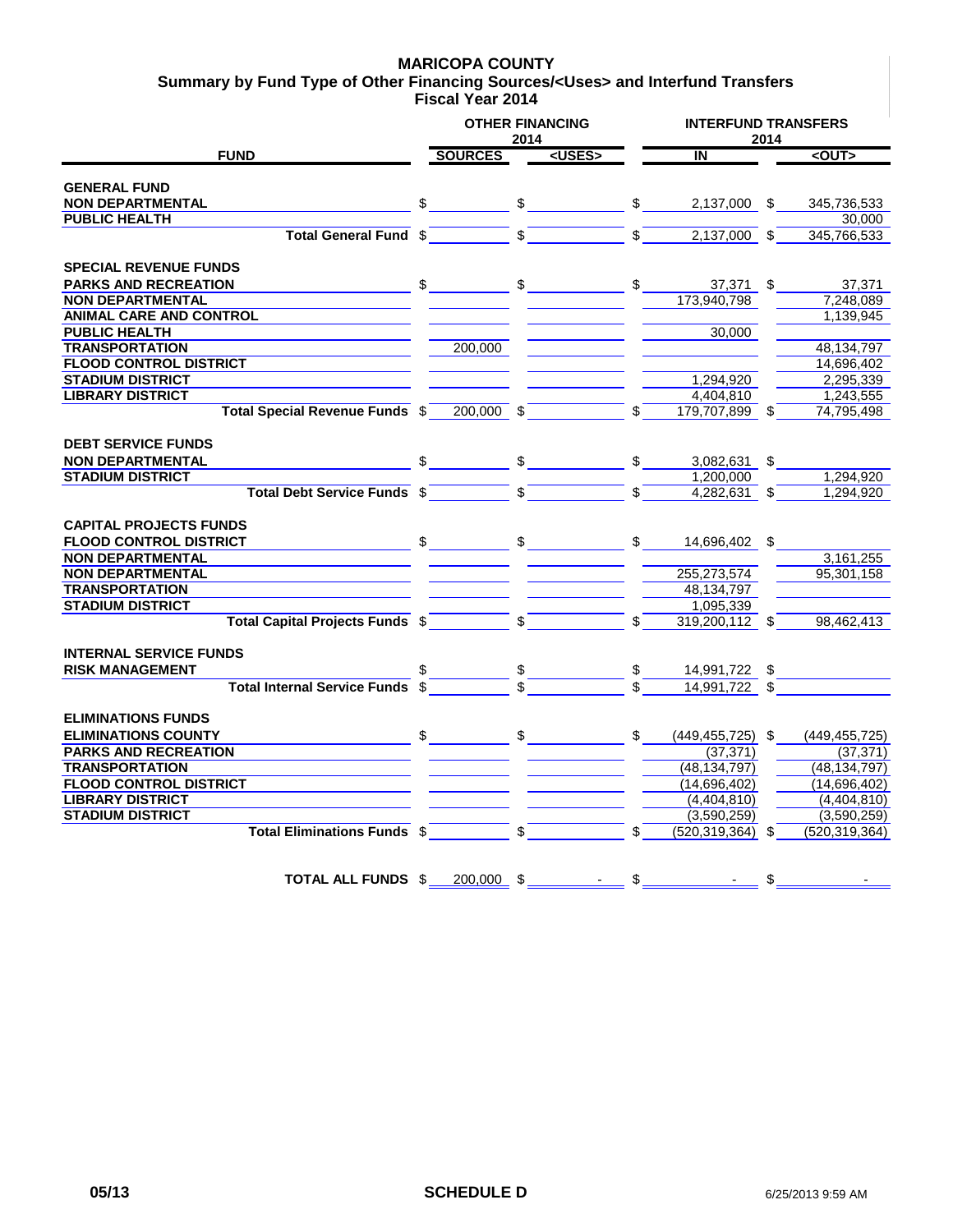### **MARICOPA COUNTY**

**Fiscal Year 2014 Summary by Fund Type of Other Financing Sources/<Uses> and Interfund Transfers**

|                                                             |    | <b>OTHER FINANCING</b> | 2014          |               |               | <b>INTERFUND TRANSFERS</b> |    |                 |
|-------------------------------------------------------------|----|------------------------|---------------|---------------|---------------|----------------------------|----|-----------------|
| <b>FUND</b>                                                 |    | <b>SOURCES</b>         |               | <uses></uses> |               | $\overline{\mathsf{N}}$    |    | $2$             |
| <b>GENERAL FUND</b>                                         |    |                        |               |               |               |                            |    |                 |
| <b>NON DEPARTMENTAL</b>                                     | \$ |                        | $\frac{1}{2}$ |               | $\frac{1}{2}$ | 2,137,000 \$               |    | 345,736,533     |
| <b>PUBLIC HEALTH</b>                                        |    |                        |               |               |               |                            |    | 30.000          |
| <b>Total General Fund</b>                                   | \$ |                        |               |               |               | 2,137,000                  | \$ | 345,766,533     |
|                                                             |    |                        |               |               |               |                            |    |                 |
| <b>SPECIAL REVENUE FUNDS</b><br><b>PARKS AND RECREATION</b> | \$ |                        | \$            |               | \$            | 37,371 \$                  |    | 37,371          |
| <b>NON DEPARTMENTAL</b>                                     |    |                        |               |               |               | 173,940,798                |    | 7,248,089       |
| <b>ANIMAL CARE AND CONTROL</b>                              |    |                        |               |               |               |                            |    | 1,139,945       |
| <b>PUBLIC HEALTH</b>                                        |    |                        |               |               |               | 30,000                     |    |                 |
| <b>TRANSPORTATION</b>                                       |    | 200,000                |               |               |               |                            |    | 48, 134, 797    |
| <b>FLOOD CONTROL DISTRICT</b>                               |    |                        |               |               |               |                            |    | 14,696,402      |
| <b>STADIUM DISTRICT</b>                                     |    |                        |               |               |               | 1,294,920                  |    | 2,295,339       |
| <b>LIBRARY DISTRICT</b>                                     |    |                        |               |               |               | 4.404.810                  |    | 1,243,555       |
| Total Special Revenue Funds \$                              |    | 200.000 \$             |               |               | \$            | 179.707.899 \$             |    | 74,795,498      |
|                                                             |    |                        |               |               |               |                            |    |                 |
| <b>DEBT SERVICE FUNDS</b>                                   |    |                        |               |               |               |                            |    |                 |
| <b>NON DEPARTMENTAL</b>                                     |    |                        | \$            |               | \$            | 3,082,631                  | \$ |                 |
| <b>STADIUM DISTRICT</b>                                     |    |                        |               |               |               | 1,200,000                  |    | 1.294.920       |
| <b>Total Debt Service Funds \$</b>                          |    |                        | \$            |               | \$            | $4,282,631$ \$             |    | 1.294.920       |
| <b>CAPITAL PROJECTS FUNDS</b>                               |    |                        |               |               |               |                            |    |                 |
| <b>FLOOD CONTROL DISTRICT</b>                               | \$ |                        | $\frac{1}{2}$ |               | \$            | 14,696,402 \$              |    |                 |
| <b>NON DEPARTMENTAL</b>                                     |    |                        |               |               |               |                            |    | 3,161,255       |
| <b>NON DEPARTMENTAL</b>                                     |    |                        |               |               |               | 255,273,574                |    | 95.301.158      |
| <b>TRANSPORTATION</b>                                       |    |                        |               |               |               | 48,134,797                 |    |                 |
| <b>STADIUM DISTRICT</b>                                     |    |                        |               |               |               | 1,095,339                  |    |                 |
| <b>Total Capital Projects Funds \$</b>                      |    |                        | \$            |               |               | 319,200,112 \$             |    | 98,462,413      |
|                                                             |    |                        |               |               |               |                            |    |                 |
| <b>INTERNAL SERVICE FUNDS</b>                               |    |                        |               |               |               |                            |    |                 |
| <b>RISK MANAGEMENT</b>                                      |    |                        |               |               |               | 14,991,722 \$              |    |                 |
| <b>Total Internal Service Funds</b>                         |    |                        |               |               |               | 14,991,722 \$              |    |                 |
| <b>ELIMINATIONS FUNDS</b>                                   |    |                        |               |               |               |                            |    |                 |
| <b>ELIMINATIONS COUNTY</b>                                  | \$ |                        | \$            |               | \$            | $(449, 455, 725)$ \$       |    | (449, 455, 725) |
| <b>PARKS AND RECREATION</b>                                 |    |                        |               |               |               | (37, 371)                  |    | (37, 371)       |
| <b>TRANSPORTATION</b>                                       |    |                        |               |               |               | (48, 134, 797)             |    | (48, 134, 797)  |
| <b>FLOOD CONTROL DISTRICT</b>                               |    |                        |               |               |               | (14,696,402)               |    | (14,696,402)    |
| <b>LIBRARY DISTRICT</b>                                     |    |                        |               |               |               | (4,404,810)                |    | (4,404,810)     |
| <b>STADIUM DISTRICT</b>                                     |    |                        |               |               |               | (3,590,259)                |    | (3,590,259)     |
| Total Eliminations Funds \$                                 |    |                        | \$            |               | \$            | (520, 319, 364)            | \$ | (520, 319, 364) |
|                                                             |    |                        |               |               |               |                            |    |                 |
| <b>TOTAL ALL FUNDS \$</b>                                   |    | 200.000                | \$            |               | \$            |                            | \$ |                 |
|                                                             |    |                        |               |               |               |                            |    |                 |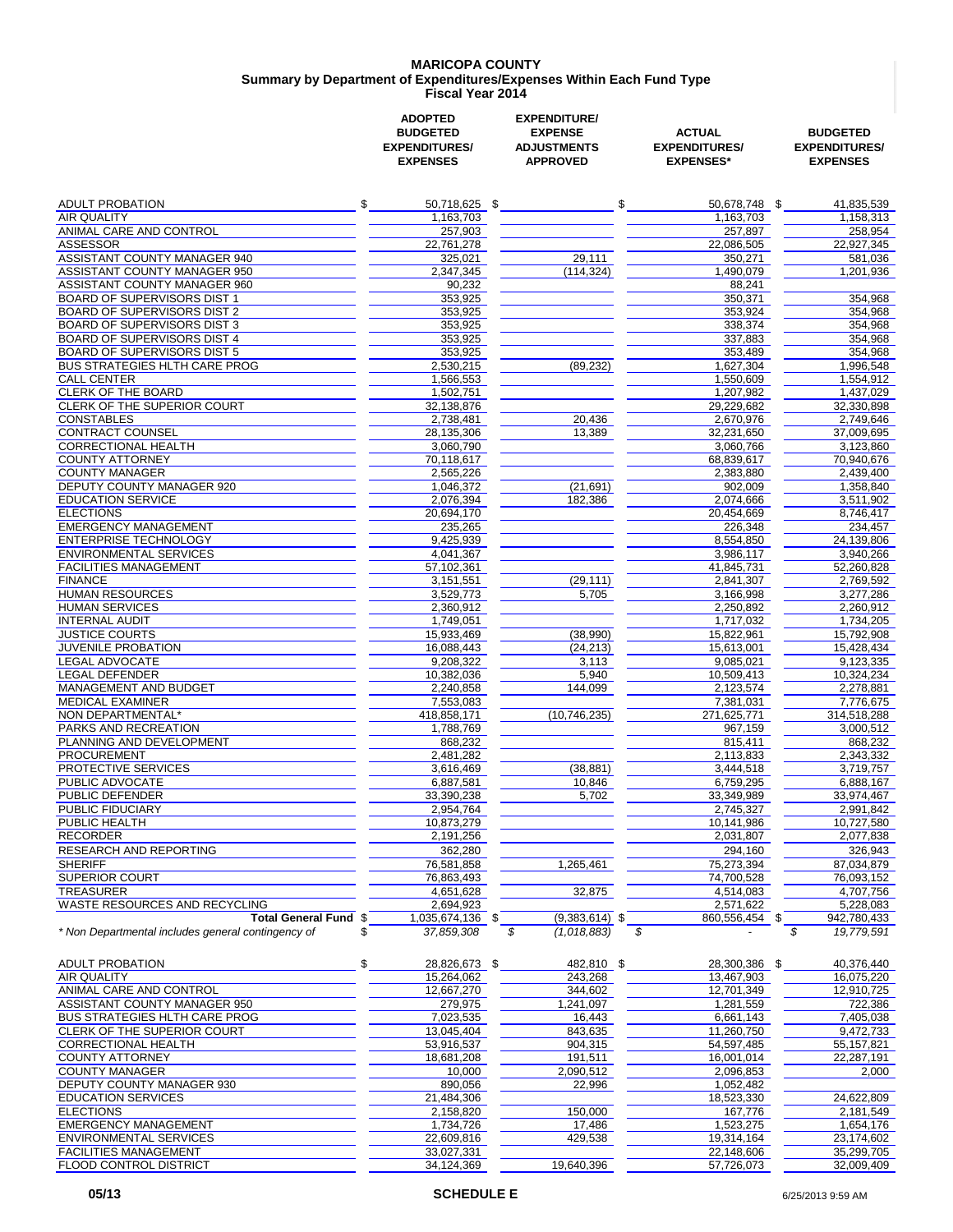#### **MARICOPA COUNTY Fiscal Year 2014 Summary by Department of Expenditures/Expenses Within Each Fund Type**

|                                                                            | <b>ADOPTED</b><br><b>BUDGETED</b><br><b>EXPENDITURES/</b><br><b>EXPENSES</b> | <b>EXPENDITURE/</b><br><b>EXPENSE</b><br><b>ADJUSTMENTS</b><br><b>APPROVED</b> | <b>ACTUAL</b><br><b>EXPENDITURES/</b><br><b>EXPENSES*</b> | <b>BUDGETED</b><br><b>EXPENDITURES/</b><br><b>EXPENSES</b> |
|----------------------------------------------------------------------------|------------------------------------------------------------------------------|--------------------------------------------------------------------------------|-----------------------------------------------------------|------------------------------------------------------------|
| <b>ADULT PROBATION</b>                                                     | \$<br>50,718,625 \$                                                          | \$                                                                             | 50,678,748 \$                                             | 41,835,539                                                 |
| AIR QUALITY                                                                | 1,163,703                                                                    |                                                                                | 1,163,703                                                 | 1,158,313                                                  |
| ANIMAL CARE AND CONTROL                                                    | 257,903                                                                      |                                                                                | 257,897                                                   | 258,954                                                    |
| <b>ASSESSOR</b>                                                            | 22,761,278                                                                   |                                                                                | 22,086,505                                                | 22,927,345                                                 |
| ASSISTANT COUNTY MANAGER 940                                               | 325,021                                                                      | 29,111                                                                         | 350,271                                                   | 581,036                                                    |
| <b>ASSISTANT COUNTY MANAGER 950</b><br><b>ASSISTANT COUNTY MANAGER 960</b> | 2,347,345                                                                    | (114, 324)                                                                     | 1,490,079                                                 | 1,201,936                                                  |
| <b>BOARD OF SUPERVISORS DIST 1</b>                                         | 90,232<br>353,925                                                            |                                                                                | 88,241                                                    | 354,968                                                    |
| <b>BOARD OF SUPERVISORS DIST 2</b>                                         | 353,925                                                                      |                                                                                | 350,371<br>353,924                                        | 354,968                                                    |
| BOARD OF SUPERVISORS DIST 3                                                | 353,925                                                                      |                                                                                | 338,374                                                   | 354,968                                                    |
| BOARD OF SUPERVISORS DIST 4                                                | 353,925                                                                      |                                                                                | 337,883                                                   | 354,968                                                    |
| <b>BOARD OF SUPERVISORS DIST 5</b>                                         | 353,925                                                                      |                                                                                | 353,489                                                   | 354,968                                                    |
| BUS STRATEGIES HLTH CARE PROG                                              | 2,530,215                                                                    | (89, 232)                                                                      | 1,627,304                                                 | 1,996,548                                                  |
| <b>CALL CENTER</b>                                                         | 1,566,553                                                                    |                                                                                | 1,550,609                                                 | 1,554,912                                                  |
| CLERK OF THE BOARD                                                         | 1,502,751                                                                    |                                                                                | 1,207,982                                                 | 1,437,029                                                  |
| CLERK OF THE SUPERIOR COURT                                                | 32,138,876                                                                   |                                                                                | 29,229,682                                                | 32,330,898                                                 |
| CONSTABLES                                                                 | 2,738,481                                                                    | 20,436                                                                         | 2,670,976                                                 | 2,749,646                                                  |
| <b>CONTRACT COUNSEL</b>                                                    | 28,135,306                                                                   | 13,389                                                                         | 32.231.650                                                | 37,009,695                                                 |
| CORRECTIONAL HEALTH                                                        | 3,060,790                                                                    |                                                                                | 3,060,766                                                 | 3,123,860                                                  |
| COUNTY ATTORNEY                                                            | 70,118,617                                                                   |                                                                                | 68,839,617                                                | 70,940,676                                                 |
| <b>COUNTY MANAGER</b>                                                      | 2,565,226                                                                    |                                                                                | 2,383,880                                                 | 2,439,400                                                  |
| DEPUTY COUNTY MANAGER 920<br><b>EDUCATION SERVICE</b>                      | 1,046,372<br>2,076,394                                                       | (21, 691)<br>182,386                                                           | 902,009<br>2,074,666                                      | 1,358,840<br>3,511,902                                     |
| <b>ELECTIONS</b>                                                           | 20,694,170                                                                   |                                                                                | 20,454,669                                                | 8,746,417                                                  |
| <b>EMERGENCY MANAGEMENT</b>                                                | 235,265                                                                      |                                                                                | 226,348                                                   | 234,457                                                    |
| <b>ENTERPRISE TECHNOLOGY</b>                                               | 9.425.939                                                                    |                                                                                | 8,554,850                                                 | 24,139,806                                                 |
| ENVIRONMENTAL SERVICES                                                     | 4,041,367                                                                    |                                                                                | 3,986,117                                                 | 3,940,266                                                  |
| <b>FACILITIES MANAGEMENT</b>                                               | 57,102,361                                                                   |                                                                                | 41,845,731                                                | 52,260,828                                                 |
| <b>FINANCE</b>                                                             | 3,151,551                                                                    | (29, 111)                                                                      | 2,841,307                                                 | 2,769,592                                                  |
| <b>HUMAN RESOURCES</b>                                                     | 3,529,773                                                                    | 5,705                                                                          | 3,166,998                                                 | 3,277,286                                                  |
| <b>HUMAN SERVICES</b>                                                      | 2,360,912                                                                    |                                                                                | 2,250,892                                                 | 2,260,912                                                  |
| INTERNAL AUDIT                                                             | 1,749,051                                                                    |                                                                                | 1,717,032                                                 | 1,734,205                                                  |
| <b>JUSTICE COURTS</b>                                                      | 15,933,469                                                                   | (38,990)                                                                       | 15,822,961                                                | 15,792,908                                                 |
| <b>JUVENILE PROBATION</b>                                                  | 16,088,443                                                                   | (24, 213)                                                                      | 15,613,001                                                | 15,428,434                                                 |
| LEGAL ADVOCATE<br>LEGAL DEFENDER                                           | 9,208,322<br>10,382,036                                                      | 3,113<br>5,940                                                                 | 9,085,021<br>10,509,413                                   | 9,123,335<br>10,324,234                                    |
| MANAGEMENT AND BUDGET                                                      | 2,240,858                                                                    | 144,099                                                                        | 2,123,574                                                 | 2,278,881                                                  |
| MEDICAL EXAMINER                                                           | 7,553,083                                                                    |                                                                                | 7,381,031                                                 | 7,776,675                                                  |
| NON DEPARTMENTAL*                                                          | 418,858,171                                                                  | (10, 746, 235)                                                                 | 271,625,771                                               | 314,518,288                                                |
| PARKS AND RECREATION                                                       | 1,788,769                                                                    |                                                                                | 967,159                                                   | 3,000,512                                                  |
| PLANNING AND DEVELOPMENT                                                   | 868,232                                                                      |                                                                                | 815,411                                                   | 868,232                                                    |
| <b>PROCUREMENT</b>                                                         | 2,481,282                                                                    |                                                                                | 2,113,833                                                 | 2,343,332                                                  |
| PROTECTIVE SERVICES                                                        | 3,616,469                                                                    | (38, 881)                                                                      | 3,444,518                                                 | 3,719,757                                                  |
| PUBLIC ADVOCATE                                                            | 6,887,581                                                                    | 10,846                                                                         | 6,759,295                                                 | 6,888,167                                                  |
| PUBLIC DEFENDER                                                            | 33,390,238                                                                   | 5,702                                                                          | 33.349.989                                                | 33,974,467                                                 |
| PUBLIC FIDUCIARY                                                           | 2,954,764                                                                    |                                                                                | 2,745,327                                                 | 2,991,842                                                  |
| PUBLIC HEALTH                                                              | 10,873,279                                                                   |                                                                                | 10,141,986                                                | 10,727,580                                                 |
| RECORDER                                                                   | 2,191,256                                                                    |                                                                                | 2,031,807                                                 | 2,077,838                                                  |
| RESEARCH AND REPORTING                                                     | 362,280                                                                      |                                                                                | 294,160                                                   | 326,943                                                    |
| SHERIFF                                                                    | 76,581,858                                                                   | 1,265,461                                                                      | 75,273,394                                                | 87,034,879                                                 |
| <b>SUPERIOR COURT</b>                                                      | 76,863,493                                                                   | 32,875                                                                         | 74,700,528                                                | 76,093,152                                                 |
| TREASURER<br>WASTE RESOURCES AND RECYCLING                                 | 4,651,628<br>2,694,923                                                       |                                                                                | 4,514,083<br>2,571,622                                    | 4,707,756<br>5,228,083                                     |
| <b>Total General Fund \$</b>                                               | 1,035,674,136 \$                                                             | $(9,383,614)$ \$                                                               | 860,556,454 \$                                            | 942,780,433                                                |
| * Non Departmental includes general contingency of                         | 37,859,308<br>S                                                              | \$<br>(1,018,883)                                                              | \$                                                        | \$<br>19,779,591                                           |
| ADULT PROBATION                                                            | \$<br>28,826,673 \$                                                          | 482,810 \$                                                                     | 28,300,386 \$                                             | 40,376,440                                                 |
| AIR QUALITY                                                                | 15,264,062                                                                   | 243,268                                                                        | 13,467,903                                                | 16,075,220                                                 |
| <b>ANIMAL CARE AND CONTROL</b>                                             | 12,667,270                                                                   | 344,602                                                                        | 12,701,349                                                | 12,910,725                                                 |
| ASSISTANT COUNTY MANAGER 950                                               | 279,975                                                                      | 1,241,097                                                                      | 1,281,559                                                 | 722,386                                                    |
| BUS STRATEGIES HLTH CARE PROG                                              | 7,023,535                                                                    | 16,443                                                                         | 6,661,143                                                 | 7,405,038                                                  |
| CLERK OF THE SUPERIOR COURT                                                | 13,045,404                                                                   | 843,635                                                                        | 11,260,750                                                | 9,472,733                                                  |
| CORRECTIONAL HEALTH                                                        | 53,916,537                                                                   | 904,315                                                                        | 54,597,485                                                | 55,157,821                                                 |
| COUNTY ATTORNEY                                                            | 18,681,208                                                                   | 191,511                                                                        | 16,001,014                                                | 22,287,191                                                 |
| COUNTY MANAGER                                                             | 10,000                                                                       | 2,090,512                                                                      | 2,096,853                                                 | 2,000                                                      |
| DEPUTY COUNTY MANAGER 930                                                  | 890,056                                                                      | 22,996                                                                         | 1,052,482                                                 |                                                            |

EDUCATION SERVICES 21,484,306 18,523,330 24,622,809 ELECTIONS 2,158,820 150,000 167,776 2,181,549 EMERGENCY MANAGEMENT 1,654,176<br>
ENVIRONMENTAL SERVICES 22,609,816 22,609,816 429,538 19,314,164 23,174,602 ENVIRONMENTAL SERVICES 22,609,816 429,538 19,314,164 23,174,602<br>
FACILITIES MANAGEMENT 35,299,705 FACILITIES MANAGEMENT 33,027,331 22,148,606 35,299,705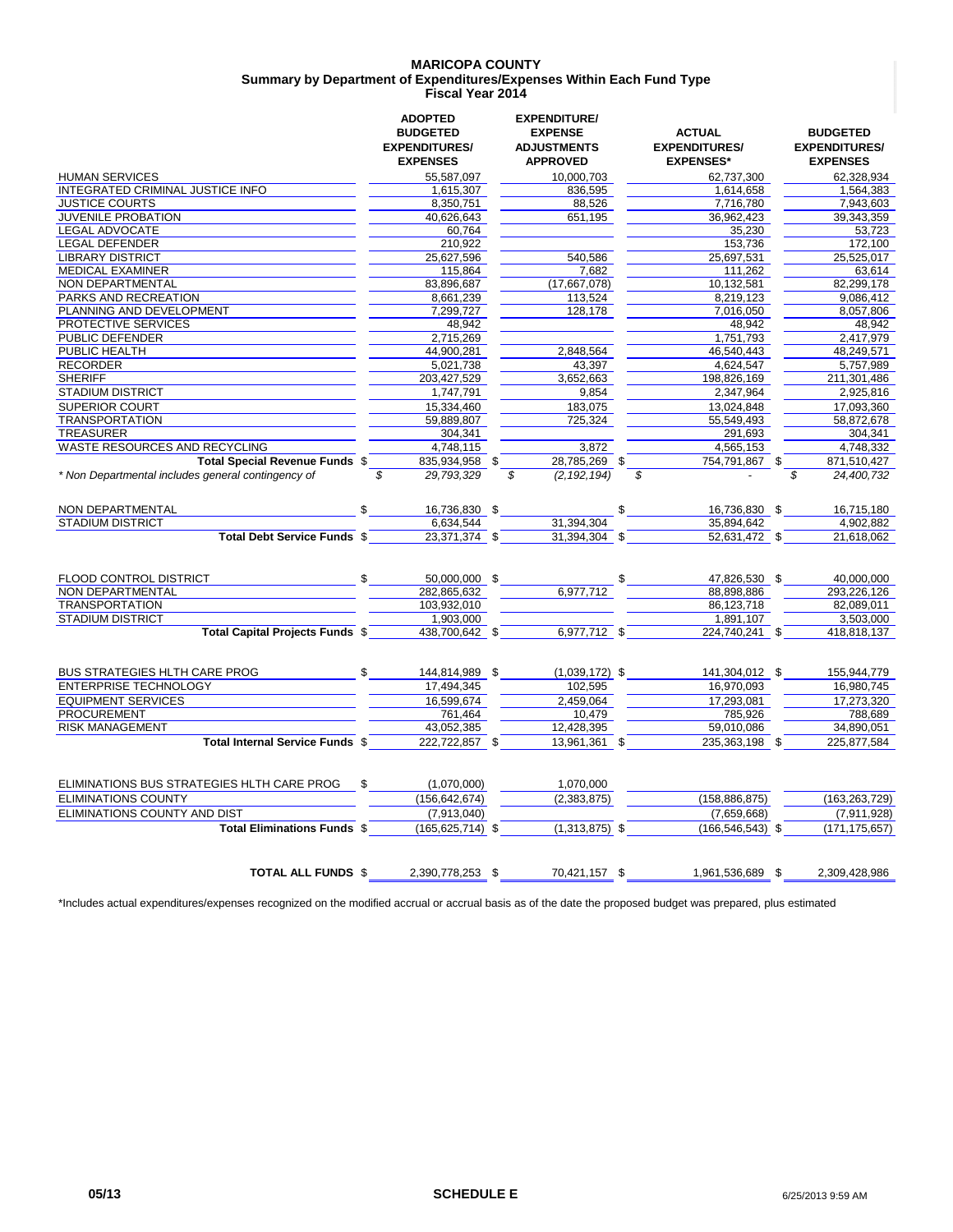#### **MARICOPA COUNTY Fiscal Year 2014 Summary by Department of Expenditures/Expenses Within Each Fund Type**

|                                                    | <b>ADOPTED</b>                                             | <b>EXPENDITURE/</b>                                     |                                                           |                                                            |  |
|----------------------------------------------------|------------------------------------------------------------|---------------------------------------------------------|-----------------------------------------------------------|------------------------------------------------------------|--|
|                                                    | <b>BUDGETED</b><br><b>EXPENDITURES/</b><br><b>EXPENSES</b> | <b>EXPENSE</b><br><b>ADJUSTMENTS</b><br><b>APPROVED</b> | <b>ACTUAL</b><br><b>EXPENDITURES/</b><br><b>EXPENSES*</b> | <b>BUDGETED</b><br><b>EXPENDITURES/</b><br><b>EXPENSES</b> |  |
| <b>HUMAN SERVICES</b>                              | 55,587,097                                                 | 10,000,703                                              | 62,737,300                                                | 62,328,934                                                 |  |
| INTEGRATED CRIMINAL JUSTICE INFO                   | 1,615,307                                                  | 836,595                                                 | 1,614,658                                                 | 1,564,383                                                  |  |
| <b>JUSTICE COURTS</b>                              | 8,350,751                                                  | 88,526                                                  | 7,716,780                                                 | 7,943,603                                                  |  |
| <b>JUVENILE PROBATION</b>                          | 40,626,643                                                 | 651,195                                                 | 36,962,423                                                | 39,343,359                                                 |  |
| <b>LEGAL ADVOCATE</b>                              | 60,764                                                     |                                                         | 35,230                                                    | 53,723                                                     |  |
| <b>LEGAL DEFENDER</b>                              | 210,922                                                    |                                                         | 153,736                                                   | 172.100                                                    |  |
| <b>LIBRARY DISTRICT</b>                            | 25,627,596                                                 | 540,586                                                 | 25,697,531                                                | 25,525,017                                                 |  |
| <b>MEDICAL EXAMINER</b>                            | 115,864                                                    | 7,682                                                   | 111,262                                                   | 63,614                                                     |  |
| NON DEPARTMENTAL                                   | 83,896,687                                                 | (17,667,078)                                            | 10,132,581                                                | 82,299,178                                                 |  |
| PARKS AND RECREATION                               | 8,661,239                                                  | 113,524                                                 | 8,219,123                                                 | 9,086,412                                                  |  |
| PLANNING AND DEVELOPMENT                           | 7,299,727                                                  | 128,178                                                 | 7,016,050                                                 | 8,057,806                                                  |  |
| PROTECTIVE SERVICES                                | 48,942                                                     |                                                         | 48,942                                                    | 48,942                                                     |  |
| PUBLIC DEFENDER                                    | 2,715,269                                                  |                                                         | 1.751.793                                                 | 2,417,979                                                  |  |
| PUBLIC HEALTH                                      | 44,900,281                                                 | 2,848,564                                               | 46,540,443                                                | 48.249.571                                                 |  |
| <b>RECORDER</b>                                    | 5,021,738                                                  | 43,397                                                  | 4,624,547                                                 | 5,757,989                                                  |  |
| <b>SHERIFF</b>                                     | 203,427,529                                                | 3,652,663                                               | 198,826,169                                               | 211,301,486                                                |  |
| STADIUM DISTRICT                                   | 1,747,791                                                  | 9,854                                                   | 2,347,964                                                 | 2,925,816                                                  |  |
| <b>SUPERIOR COURT</b>                              | 15,334,460                                                 | 183,075                                                 | 13,024,848                                                | 17,093,360                                                 |  |
| <b>TRANSPORTATION</b>                              | 59,889,807                                                 | 725,324                                                 | 55,549,493                                                | 58,872,678                                                 |  |
| <b>TREASURER</b>                                   | 304,341                                                    |                                                         | 291,693                                                   | 304,341                                                    |  |
| <b>WASTE RESOURCES AND RECYCLING</b>               | 4,748,115                                                  | 3,872                                                   | 4,565,153                                                 | 4,748,332                                                  |  |
| Total Special Revenue Funds \$                     | 835,934,958 \$                                             | 28,785,269 \$                                           | 754,791,867 \$                                            | 871,510,427                                                |  |
| * Non Departmental includes general contingency of | 29,793,329<br>\$                                           | (2, 192, 194)<br>\$                                     | \$                                                        | 24,400,732<br>\$                                           |  |
| NON DEPARTMENTAL<br><b>STADIUM DISTRICT</b>        | \$<br>16,736,830 \$<br>6,634,544                           | 31,394,304                                              | \$<br>16,736,830 \$<br>35,894,642                         | 16,715,180<br>4,902,882                                    |  |
| Total Debt Service Funds \$                        | 23,371,374 \$                                              | 31,394,304 \$                                           | 52,631,472 \$                                             | 21,618,062                                                 |  |
| FLOOD CONTROL DISTRICT                             | 50,000,000 \$                                              |                                                         | 47,826,530 \$                                             | 40,000,000                                                 |  |
| NON DEPARTMENTAL                                   | 282.865.632                                                | 6.977.712                                               | 88.898.886                                                | 293.226.126                                                |  |
| <b>TRANSPORTATION</b>                              | 103,932,010                                                |                                                         | 86,123,718                                                | 82,089,011                                                 |  |
| <b>STADIUM DISTRICT</b>                            | 1,903,000                                                  |                                                         | 1,891,107                                                 | 3,503,000                                                  |  |
| Total Capital Projects Funds \$                    | 438,700,642 \$                                             | 6,977,712 \$                                            | $224,740,241$ \$                                          | 418,818,137                                                |  |
| <b>BUS STRATEGIES HLTH CARE PROG</b>               | \$<br>144,814,989 \$                                       | $(1,039,172)$ \$                                        | 141,304,012 \$                                            | 155,944,779                                                |  |
| <b>ENTERPRISE TECHNOLOGY</b>                       | 17,494,345                                                 | 102,595                                                 | 16,970,093                                                | 16,980,745                                                 |  |
| <b>EQUIPMENT SERVICES</b>                          | 16,599,674                                                 | 2,459,064                                               | 17,293,081                                                | 17,273,320                                                 |  |
| <b>PROCUREMENT</b>                                 | 761,464                                                    | 10,479                                                  | 785,926                                                   | 788,689                                                    |  |
| <b>RISK MANAGEMENT</b>                             | 43,052,385                                                 | 12,428,395                                              | 59,010,086                                                | 34,890,051                                                 |  |
| Total Internal Service Funds \$                    | 222,722,857 \$                                             | 13,961,361 \$                                           | 235,363,198 \$                                            | 225,877,584                                                |  |
| ELIMINATIONS BUS STRATEGIES HLTH CARE PROG         | (1,070,000)                                                | 1.070.000                                               |                                                           |                                                            |  |
| <b>ELIMINATIONS COUNTY</b>                         | (156, 642, 674)                                            | (2,383,875)                                             | (158, 886, 875)                                           | (163, 263, 729)                                            |  |
| ELIMINATIONS COUNTY AND DIST                       | (7,913,040)                                                |                                                         | (7,659,668)                                               | (7,911,928)                                                |  |
| <b>Total Eliminations Funds \$</b>                 | $(165, 625, 714)$ \$                                       | $(1,313,875)$ \$                                        | $(166, 546, 543)$ \$                                      | (171, 175, 657)                                            |  |
| <b>TOTAL ALL FUNDS \$</b>                          | 2,390,778,253 \$                                           | 70,421,157 \$                                           | 1,961,536,689 \$                                          | 2,309,428,986                                              |  |

\*Includes actual expenditures/expenses recognized on the modified accrual or accrual basis as of the date the proposed budget was prepared, plus estimated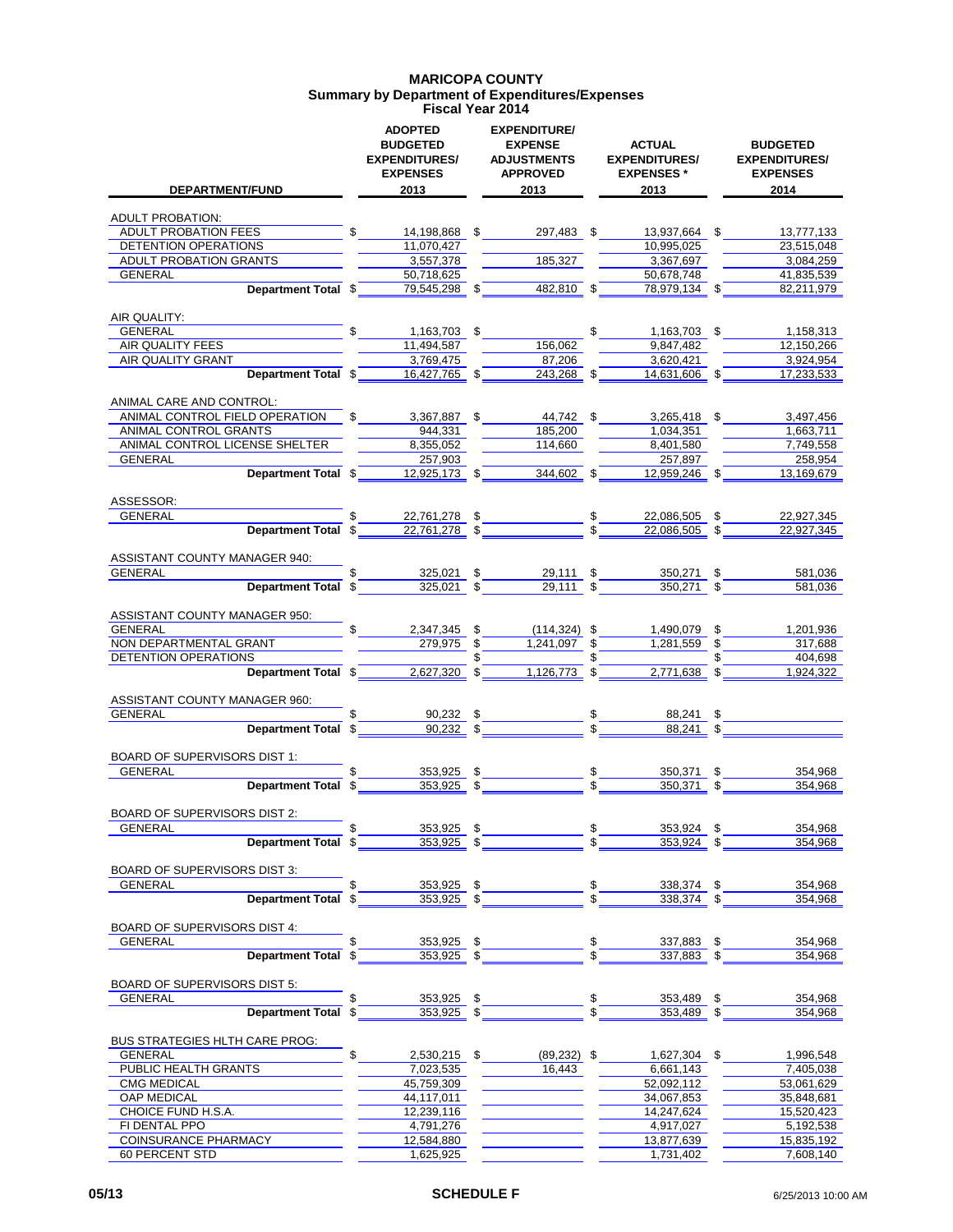### **MARICOPA COUNTY Summary by Department of Expenditures/Expenses Fiscal Year 2014**

| <b>DEPARTMENT/FUND</b>                                  | <b>ADOPTED</b><br><b>BUDGETED</b><br><b>EXPENDITURES/</b><br><b>EXPENSES</b><br>2013 |          | <b>EXPENDITURE/</b><br><b>EXPENSE</b><br><b>ADJUSTMENTS</b><br><b>APPROVED</b><br>2013 | <b>ACTUAL</b><br><b>EXPENDITURES/</b><br><b>EXPENSES*</b><br>2013 |          | <b>BUDGETED</b><br><b>EXPENDITURES/</b><br><b>EXPENSES</b><br>2014 |
|---------------------------------------------------------|--------------------------------------------------------------------------------------|----------|----------------------------------------------------------------------------------------|-------------------------------------------------------------------|----------|--------------------------------------------------------------------|
|                                                         |                                                                                      |          |                                                                                        |                                                                   |          |                                                                    |
| <b>ADULT PROBATION:</b><br>ADULT PROBATION FEES         | 14,198,868 \$                                                                        |          | 297,483 \$                                                                             | 13.937.664 \$                                                     |          | 13,777,133                                                         |
| DETENTION OPERATIONS                                    | 11,070,427                                                                           |          |                                                                                        | 10,995,025                                                        |          | 23,515,048                                                         |
| ADULT PROBATION GRANTS                                  | 3,557,378                                                                            |          | 185,327                                                                                | 3,367,697                                                         |          | 3,084,259                                                          |
| GENERAL                                                 | 50,718,625                                                                           |          |                                                                                        | 50,678,748                                                        |          | 41,835,539                                                         |
| Department Total \$                                     | 79,545,298 \$                                                                        |          | 482,810 \$                                                                             | 78,979,134 \$                                                     |          | 82,211,979                                                         |
| AIR QUALITY:                                            | \$                                                                                   |          |                                                                                        |                                                                   |          |                                                                    |
| GENERAL<br>AIR QUALITY FEES                             | 1,163,703 \$<br>11.494.587                                                           |          | 156,062                                                                                | \$<br>1,163,703 \$<br>9,847,482                                   |          | 1,158,313<br>12,150,266                                            |
| AIR QUALITY GRANT                                       | 3,769,475                                                                            |          | 87,206                                                                                 | 3,620,421                                                         |          | 3,924,954                                                          |
| Department Total \$                                     | 16,427,765 \$                                                                        |          | 243,268 \$                                                                             | $14,631,606$ \$                                                   |          | 17,233,533                                                         |
| ANIMAL CARE AND CONTROL:                                |                                                                                      |          |                                                                                        |                                                                   |          |                                                                    |
| ANIMAL CONTROL FIELD OPERATION                          | 3,367,887                                                                            | \$       | 44,742 \$                                                                              | 3,265,418 \$                                                      |          | 3,497,456                                                          |
| ANIMAL CONTROL GRANTS<br>ANIMAL CONTROL LICENSE SHELTER | 944.331<br>8.355.052                                                                 |          | 185.200<br>114,660                                                                     | 1.034,351<br>8,401,580                                            |          | 1,663,711<br>7,749,558                                             |
| GENERAL                                                 | 257,903                                                                              |          |                                                                                        | 257.897                                                           |          | 258,954                                                            |
| Department Total \$                                     | $12,925,173$ \$                                                                      |          | 344,602                                                                                | 12,959,246 \$                                                     |          | 13,169,679                                                         |
| ASSESSOR:                                               |                                                                                      |          |                                                                                        |                                                                   |          |                                                                    |
| GENERAL                                                 | \$<br>22,761,278 \$                                                                  |          |                                                                                        | \$<br>22,086,505                                                  |          | 22,927,345                                                         |
| Department Total \$                                     | 22,761,278 \$                                                                        |          |                                                                                        | 22.086.505                                                        |          | 22,927,345                                                         |
| ASSISTANT COUNTY MANAGER 940:                           |                                                                                      |          |                                                                                        |                                                                   |          |                                                                    |
| <b>GENERAL</b><br>Department Total \$                   | \$<br>325,021 \$<br>$325,021$ \$                                                     |          | 29,111 \$<br>$29,111$ \$                                                               | 350,271 \$<br>$350,271$ \$                                        |          | 581,036<br>581,036                                                 |
| ASSISTANT COUNTY MANAGER 950:                           |                                                                                      |          |                                                                                        |                                                                   |          |                                                                    |
| GENERAL                                                 | \$<br>2,347,345 \$                                                                   |          | $(114, 324)$ \$                                                                        | 1,490,079 \$                                                      |          | 1,201,936                                                          |
| NON DEPARTMENTAL GRANT                                  | 279,975                                                                              | \$       | 1.241.097                                                                              | \$<br>1,281,559                                                   | \$       | 317,688                                                            |
| DETENTION OPERATIONS                                    |                                                                                      |          |                                                                                        |                                                                   |          | 404,698                                                            |
| Department Total \$                                     | $2,627,320$ \$                                                                       |          | 1,126,773 \$                                                                           | $2,771,638$ \$                                                    |          | 1,924,322                                                          |
| ASSISTANT COUNTY MANAGER 960:                           |                                                                                      |          |                                                                                        |                                                                   |          |                                                                    |
| GENERAL                                                 | \$<br>90,232 \$<br>$90,232$ \$                                                       |          |                                                                                        | 88,241 \$<br>88.241 \$                                            |          |                                                                    |
| Department Total \$                                     |                                                                                      |          |                                                                                        |                                                                   |          |                                                                    |
| BOARD OF SUPERVISORS DIST 1:                            |                                                                                      |          |                                                                                        |                                                                   |          |                                                                    |
| <b>GENERAL</b>                                          | \$<br>353,925 \$<br>353.925 \$                                                       |          |                                                                                        | $\frac{1}{2}$<br>350,371                                          | \$       | 354,968                                                            |
| Department Total \$                                     |                                                                                      |          |                                                                                        | 350.371                                                           | \$       | 354.968                                                            |
| BOARD OF SUPERVISORS DIST 2:                            |                                                                                      |          |                                                                                        |                                                                   |          |                                                                    |
| GENERAL                                                 | \$<br>353,925<br>353,925                                                             | \$<br>\$ |                                                                                        | 353,924<br>353,924                                                | \$       | 354,968<br>354,968                                                 |
| Department Total \$                                     |                                                                                      |          |                                                                                        |                                                                   | \$       |                                                                    |
| BOARD OF SUPERVISORS DIST 3:                            |                                                                                      |          |                                                                                        |                                                                   |          |                                                                    |
| <b>GENERAL</b><br><b>Department Total</b>               | \$<br>353,925 \$<br>\$<br>353,925 \$                                                 |          |                                                                                        | 338,374<br>338,374                                                | \$<br>\$ | 354,968<br>354,968                                                 |
| <b>BOARD OF SUPERVISORS DIST 4:</b>                     |                                                                                      |          |                                                                                        |                                                                   |          |                                                                    |
| <b>GENERAL</b>                                          | \$<br>353,925 \$                                                                     |          |                                                                                        | 337,883                                                           | \$       | 354,968                                                            |
| <b>Department Total</b>                                 | 353,925<br>\$                                                                        | \$       |                                                                                        | 337,883                                                           | \$       | 354,968                                                            |
| <b>BOARD OF SUPERVISORS DIST 5:</b>                     |                                                                                      |          |                                                                                        |                                                                   |          |                                                                    |
| <b>GENERAL</b>                                          | \$<br>353,925                                                                        | \$       |                                                                                        | 353,489                                                           | \$       | 354,968                                                            |
| <b>Department Total</b>                                 | 353,925<br>\$                                                                        | \$       |                                                                                        | 353,489                                                           | \$       | 354,968                                                            |
| <b>BUS STRATEGIES HLTH CARE PROG:</b>                   |                                                                                      |          |                                                                                        |                                                                   |          |                                                                    |
| <b>GENERAL</b><br>PUBLIC HEALTH GRANTS                  | \$<br>2,530,215<br>7,023,535                                                         | \$       | $(89, 232)$ \$<br>16,443                                                               | 1,627,304 \$<br>6,661,143                                         |          | 1,996,548<br>7,405,038                                             |
| <b>CMG MEDICAL</b>                                      | 45,759,309                                                                           |          |                                                                                        | 52,092,112                                                        |          | 53,061,629                                                         |
| OAP MEDICAL                                             | 44,117,011                                                                           |          |                                                                                        | 34,067,853                                                        |          | 35,848,681                                                         |
| CHOICE FUND H.S.A.                                      | 12,239,116                                                                           |          |                                                                                        | 14,247,624                                                        |          | 15,520,423                                                         |
| FI DENTAL PPO                                           | 4,791,276                                                                            |          |                                                                                        | 4,917,027                                                         |          | 5,192,538                                                          |
| COINSURANCE PHARMACY                                    | 12,584,880                                                                           |          |                                                                                        | 13,877,639<br>1,731,402                                           |          | 15,835,192                                                         |
| 60 PERCENT STD                                          | 1,625,925                                                                            |          |                                                                                        |                                                                   |          | 7,608,140                                                          |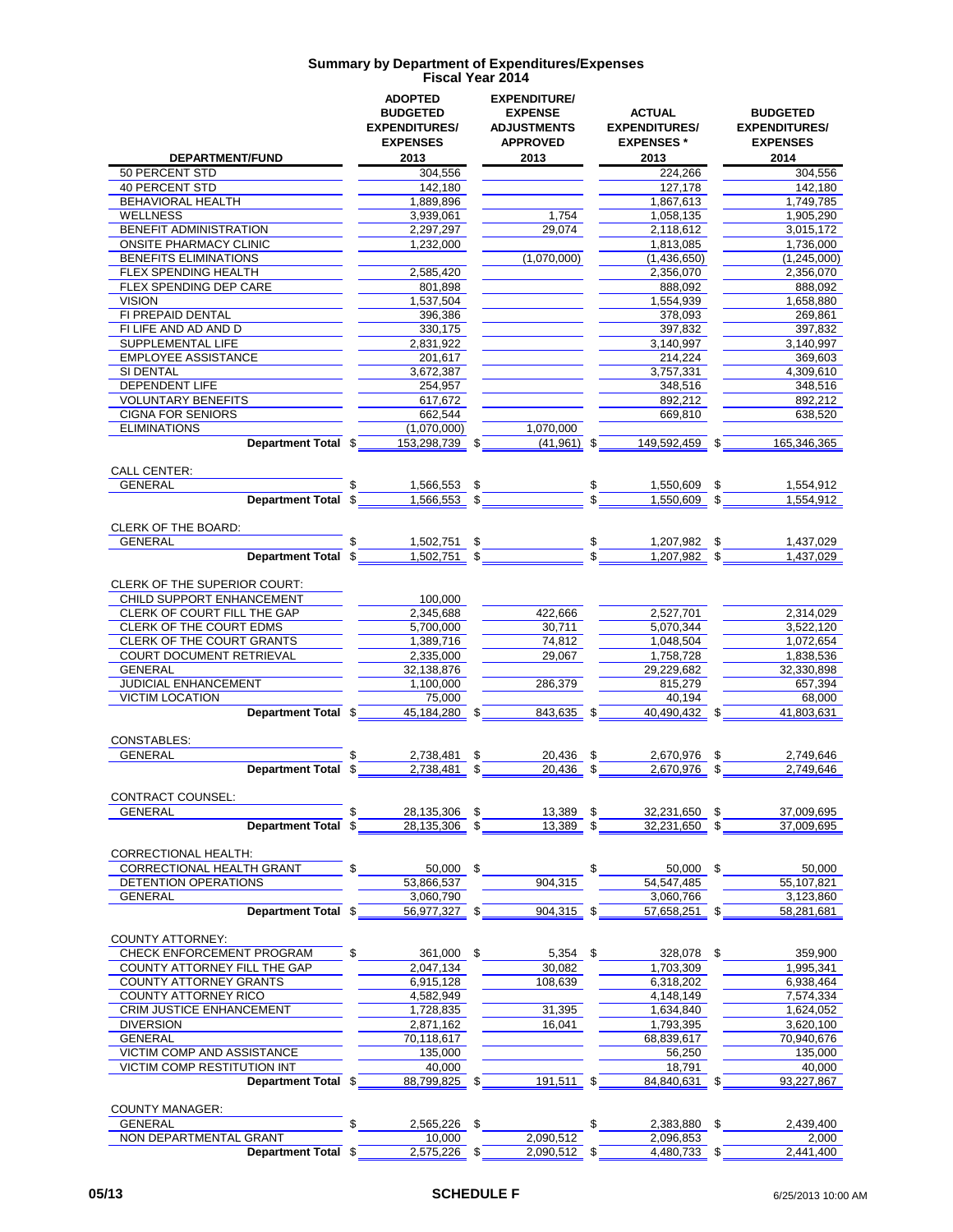|                                                           | <b>ADOPTED</b>                           | <b>EXPENDITURE/</b>                  |                                       |                                         |
|-----------------------------------------------------------|------------------------------------------|--------------------------------------|---------------------------------------|-----------------------------------------|
|                                                           | <b>BUDGETED</b><br><b>EXPENDITURES/</b>  | <b>EXPENSE</b><br><b>ADJUSTMENTS</b> | <b>ACTUAL</b><br><b>EXPENDITURES/</b> | <b>BUDGETED</b><br><b>EXPENDITURES/</b> |
|                                                           | <b>EXPENSES</b>                          | <b>APPROVED</b>                      | <b>EXPENSES*</b>                      | <b>EXPENSES</b>                         |
| <b>DEPARTMENT/FUND</b>                                    | 2013                                     | 2013                                 | 2013                                  | 2014                                    |
| 50 PERCENT STD                                            | 304,556                                  |                                      | 224,266                               | 304,556                                 |
| <b>40 PERCENT STD</b>                                     | 142,180                                  |                                      | 127,178                               | 142,180                                 |
| BEHAVIORAL HEALTH                                         | 1,889,896                                |                                      | 1,867,613                             | 1.749.785                               |
| <b>WELLNESS</b>                                           | 3,939,061                                | 1,754                                | 1,058,135                             | 1,905,290                               |
| <b>BENEFIT ADMINISTRATION</b>                             | 2,297,297                                | 29,074                               | 2,118,612                             | 3,015,172                               |
| <b>ONSITE PHARMACY CLINIC</b><br>BENEFITS ELIMINATIONS    | 1,232,000                                | (1,070,000)                          | 1,813,085                             | 1,736,000<br>(1,245,000)                |
| FLEX SPENDING HEALTH                                      | 2,585,420                                |                                      | (1,436,650)<br>2,356,070              | 2,356,070                               |
| <b>FLEX SPENDING DEP CARE</b>                             | 801,898                                  |                                      | 888,092                               | 888.092                                 |
| <b>VISION</b>                                             | 1,537,504                                |                                      | 1,554,939                             | 1,658,880                               |
| FI PREPAID DENTAL                                         | 396,386                                  |                                      | 378,093                               | 269,861                                 |
| FI LIFE AND AD AND D                                      | 330,175                                  |                                      | 397,832                               | 397,832                                 |
| SUPPLEMENTAL LIFE                                         | 2,831,922                                |                                      | 3,140,997                             | 3,140,997                               |
| <b>EMPLOYEE ASSISTANCE</b>                                | 201,617                                  |                                      | 214,224                               | 369,603                                 |
| SI DENTAL                                                 | 3,672,387                                |                                      | 3,757,331                             | 4,309,610                               |
| <b>DEPENDENT LIFE</b><br><b>VOLUNTARY BENEFITS</b>        | 254,957<br>617,672                       |                                      | 348,516<br>892,212                    | 348,516<br>892,212                      |
| <b>CIGNA FOR SENIORS</b>                                  | 662,544                                  |                                      | 669,810                               | 638,520                                 |
| <b>ELIMINATIONS</b>                                       | (1,070,000)                              | 1,070,000                            |                                       |                                         |
| Department Total \$                                       | 153,298,739<br>\$                        | $(41,961)$ \$                        | 149.592.459                           | \$<br>165,346,365                       |
|                                                           |                                          |                                      |                                       |                                         |
| <b>CALL CENTER:</b>                                       |                                          |                                      |                                       |                                         |
| <b>GENERAL</b>                                            | \$<br>1,566,553<br>\$                    |                                      | 1,550,609                             | 1,554,912<br>\$                         |
| <b>Department Total</b>                                   | \$<br>\$<br>1,566,553                    |                                      | 1,550,609 \$                          | 1,554,912                               |
|                                                           |                                          |                                      |                                       |                                         |
| CLERK OF THE BOARD:<br><b>GENERAL</b>                     | \$                                       |                                      |                                       | 1,437,029                               |
| <b>Department Total</b>                                   | 1,502,751<br>\$<br>1,502,751<br>\$<br>\$ |                                      | \$<br>1,207,982<br>1.207.982          | \$<br>1,437,029<br>\$                   |
|                                                           |                                          |                                      |                                       |                                         |
| CLERK OF THE SUPERIOR COURT:                              |                                          |                                      |                                       |                                         |
| CHILD SUPPORT ENHANCEMENT                                 | 100,000                                  |                                      |                                       |                                         |
| CLERK OF COURT FILL THE GAP                               | 2,345,688                                | 422,666                              | 2,527,701                             | 2,314,029                               |
| CLERK OF THE COURT EDMS                                   | 5,700,000                                | 30,711                               | 5,070,344                             | 3,522,120                               |
| <b>CLERK OF THE COURT GRANTS</b>                          | 1,389,716                                | 74,812                               | 1,048,504                             | 1,072,654                               |
| <b>COURT DOCUMENT RETRIEVAL</b>                           | 2,335,000                                | 29,067                               | 1,758,728                             | 1,838,536                               |
| <b>GENERAL</b>                                            | 32,138,876                               |                                      | 29,229,682                            | 32,330,898                              |
| JUDICIAL ENHANCEMENT                                      | 1,100,000                                | 286,379                              | 815,279                               | 657,394                                 |
| <b>VICTIM LOCATION</b>                                    | 75,000                                   |                                      | 40,194                                | 68,000                                  |
| Department Total \$                                       | 45,184,280 \$                            | 843,635 \$                           | 40,490,432 \$                         | 41,803,631                              |
| <b>CONSTABLES:</b>                                        |                                          |                                      |                                       |                                         |
| <b>GENERAL</b>                                            | \$<br>2,738,481<br>\$                    | 20,436                               | \$<br>2,670,976                       | 2,749,646<br>\$                         |
| Department Total \$                                       | 2,738,481<br>\$                          | 20,436                               | 2,670,976<br>\$                       | \$<br>2.749.646                         |
|                                                           |                                          |                                      |                                       |                                         |
| CONTRACT COUNSEL:                                         |                                          |                                      |                                       |                                         |
| <b>GENERAL</b>                                            | \$<br>28,135,306<br>\$                   | 13,389                               | \$<br>32,231,650                      | 37,009,695<br>\$                        |
| <b>Department Total</b>                                   | 28,135,306<br>\$<br>\$                   | 13,389                               | 32,231,650<br>\$                      | 37,009,695<br>\$                        |
| <b>CORRECTIONAL HEALTH:</b>                               |                                          |                                      |                                       |                                         |
| CORRECTIONAL HEALTH GRANT                                 | \$<br>50,000 \$                          |                                      | \$<br>50,000                          | \$<br>50,000                            |
| DETENTION OPERATIONS                                      | 53,866,537                               | 904,315                              | 54,547,485                            | 55,107,821                              |
| <b>GENERAL</b>                                            | 3,060,790                                |                                      | 3,060,766                             | 3,123,860                               |
| Department Total \$                                       | 56,977,327 \$                            | 904,315 \$                           | 57,658,251                            | 58,281,681<br>\$                        |
|                                                           |                                          |                                      |                                       |                                         |
| <b>COUNTY ATTORNEY:</b>                                   |                                          |                                      |                                       |                                         |
| CHECK ENFORCEMENT PROGRAM                                 | \$<br>361,000 \$                         | $5,354$ \$                           | 328,078 \$                            | 359,900                                 |
| COUNTY ATTORNEY FILL THE GAP                              | 2,047,134                                | 30.082                               | 1,703,309                             | 1.995.341                               |
| COUNTY ATTORNEY GRANTS                                    | 6,915,128                                | 108,639                              | 6,318,202                             | 6,938,464                               |
| <b>COUNTY ATTORNEY RICO</b>                               | 4,582,949                                |                                      | 4,148,149                             | 7,574,334                               |
| CRIM JUSTICE ENHANCEMENT                                  | 1,728,835                                | 31,395                               | 1,634,840                             | 1,624,052                               |
| <b>DIVERSION</b>                                          | 2,871,162                                | 16,041                               | 1,793,395                             | 3,620,100                               |
| <b>GENERAL</b>                                            | 70,118,617                               |                                      | 68,839,617                            | 70,940,676                              |
| VICTIM COMP AND ASSISTANCE<br>VICTIM COMP RESTITUTION INT | 135,000<br>40,000                        |                                      | 56,250<br>18,791                      | 135,000<br>40,000                       |
| Department Total \$                                       | 88,799,825 \$                            | 191,511 \$                           | 84,840,631 \$                         | 93,227,867                              |
|                                                           |                                          |                                      |                                       |                                         |
| <b>COUNTY MANAGER:</b>                                    |                                          |                                      |                                       |                                         |
| <b>GENERAL</b>                                            | 2,565,226<br>\$                          |                                      | \$<br>2,383,880                       | \$<br>2,439,400                         |
| NON DEPARTMENTAL GRANT                                    | 10,000                                   | 2,090,512                            | 2,096,853                             | 2,000                                   |
| Department Total \$                                       | 2,575,226 \$                             | 2,090,512 \$                         | 4,480,733 \$                          | 2,441,400                               |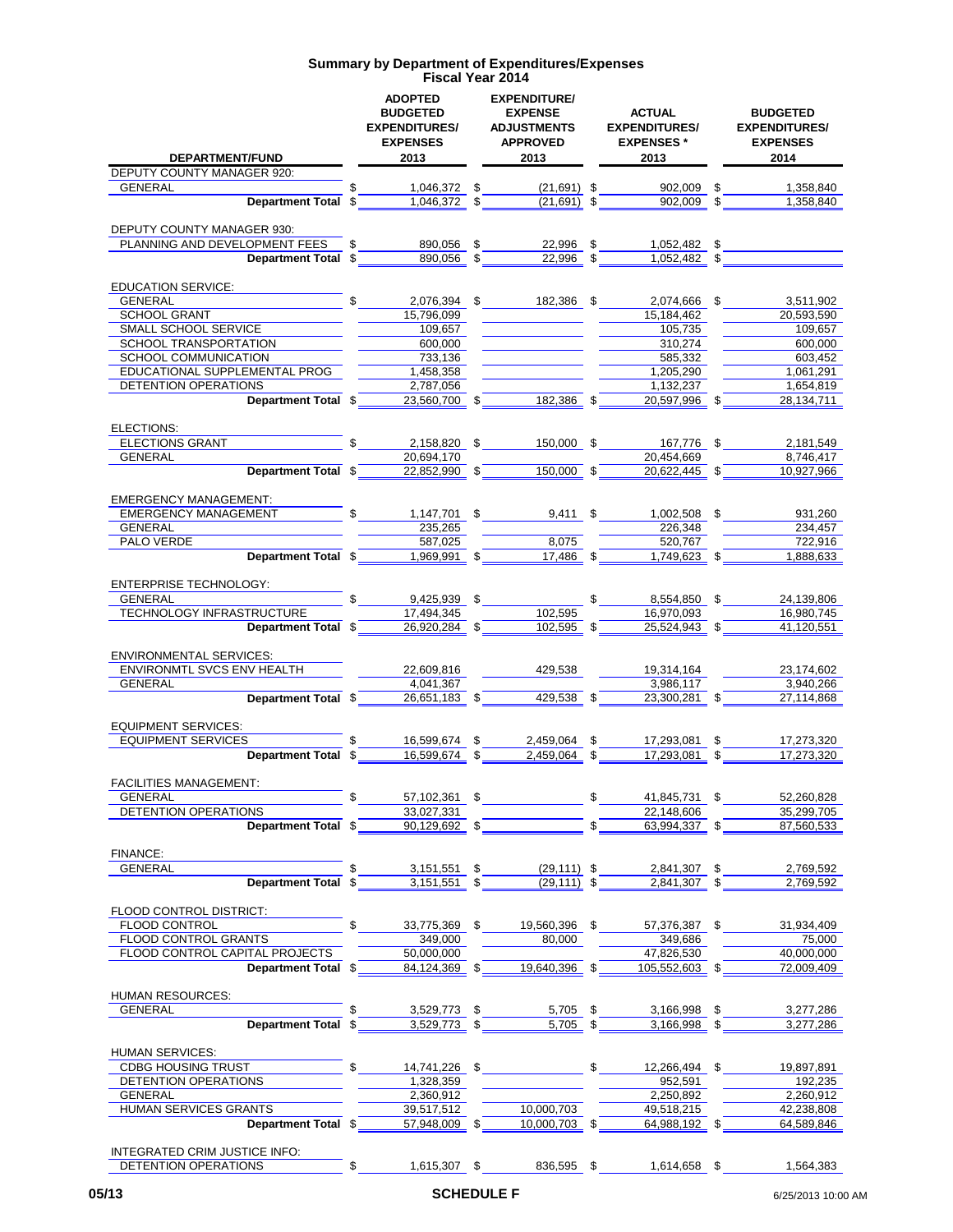| DEPARTMENT/FUND                                             | <b>ADOPTED</b><br><b>BUDGETED</b><br><b>EXPENDITURES/</b><br><b>EXPENSES</b><br>2013 | <b>EXPENDITURE/</b><br><b>EXPENSE</b><br><b>ADJUSTMENTS</b><br><b>APPROVED</b><br>2013 | <b>ACTUAL</b><br><b>EXPENDITURES/</b><br><b>EXPENSES*</b><br>2013 | <b>BUDGETED</b><br><b>EXPENDITURES/</b><br><b>EXPENSES</b><br>2014 |
|-------------------------------------------------------------|--------------------------------------------------------------------------------------|----------------------------------------------------------------------------------------|-------------------------------------------------------------------|--------------------------------------------------------------------|
| DEPUTY COUNTY MANAGER 920:                                  |                                                                                      |                                                                                        |                                                                   |                                                                    |
| <b>GENERAL</b>                                              | \$<br>\$<br>1.046.372                                                                | $(21,691)$ \$                                                                          | 902,009                                                           | \$<br>1,358,840                                                    |
| Department Total \$                                         | 1,046,372<br>\$                                                                      | $(21,691)$ \$                                                                          | 902.009                                                           | \$<br>1,358,840                                                    |
| DEPUTY COUNTY MANAGER 930:                                  |                                                                                      |                                                                                        |                                                                   |                                                                    |
| PLANNING AND DEVELOPMENT FEES                               | \$<br>\$<br>890,056                                                                  | 22,996                                                                                 | \$<br>1,052,482                                                   | \$                                                                 |
| <b>Department Total</b>                                     | 890.056<br>\$<br>\$                                                                  | 22,996                                                                                 | \$<br>1,052,482 \$                                                |                                                                    |
|                                                             |                                                                                      |                                                                                        |                                                                   |                                                                    |
| <b>EDUCATION SERVICE:</b>                                   |                                                                                      |                                                                                        |                                                                   |                                                                    |
| <b>GENERAL</b>                                              | \$<br>2,076,394                                                                      | \$<br>182,386 \$                                                                       | 2,074,666                                                         | \$<br>3,511,902                                                    |
| <b>SCHOOL GRANT</b>                                         | 15,796,099                                                                           |                                                                                        | 15,184,462                                                        | 20,593,590                                                         |
| SMALL SCHOOL SERVICE<br>SCHOOL TRANSPORTATION               | 109,657<br>600,000                                                                   |                                                                                        | 105,735<br>310,274                                                | 109,657<br>600,000                                                 |
| SCHOOL COMMUNICATION                                        | 733,136                                                                              |                                                                                        | 585,332                                                           | 603,452                                                            |
| EDUCATIONAL SUPPLEMENTAL PROG                               | 1,458,358                                                                            |                                                                                        | 1,205,290                                                         | 1,061,291                                                          |
| <b>DETENTION OPERATIONS</b>                                 | 2,787,056                                                                            |                                                                                        | 1,132,237                                                         | 1,654,819                                                          |
| Department Total \$                                         | 23,560,700 \$                                                                        | 182,386                                                                                | 20,597,996 \$                                                     | 28,134,711                                                         |
|                                                             |                                                                                      |                                                                                        |                                                                   |                                                                    |
| ELECTIONS:                                                  |                                                                                      |                                                                                        |                                                                   |                                                                    |
| <b>ELECTIONS GRANT</b>                                      | 2,158,820<br>\$                                                                      | 150.000                                                                                | \$<br>167,776                                                     | \$<br>2,181,549                                                    |
| <b>GENERAL</b>                                              | 20,694,170                                                                           |                                                                                        | 20.454.669                                                        | 8,746,417                                                          |
| Department Total \$                                         | 22,852,990 \$                                                                        | 150,000 \$                                                                             | 20,622,445 \$                                                     | 10,927,966                                                         |
|                                                             |                                                                                      |                                                                                        |                                                                   |                                                                    |
| <b>EMERGENCY MANAGEMENT:</b><br><b>EMERGENCY MANAGEMENT</b> | \$<br>1,147,701 \$                                                                   |                                                                                        |                                                                   |                                                                    |
| <b>GENERAL</b>                                              | 235.265                                                                              | $9,411$ \$                                                                             | 1,002,508 \$<br>226,348                                           | 931,260<br>234.457                                                 |
| PALO VERDE                                                  | 587,025                                                                              | 8,075                                                                                  | 520,767                                                           | 722,916                                                            |
| Department Total \$                                         | 1,969,991<br>\$                                                                      | 17,486 \$                                                                              | 1,749,623 \$                                                      | 1,888,633                                                          |
| <b>ENTERPRISE TECHNOLOGY:</b>                               |                                                                                      |                                                                                        |                                                                   |                                                                    |
| <b>GENERAL</b>                                              | 9,425,939 \$                                                                         |                                                                                        | \$<br>8,554,850 \$                                                | 24,139,806                                                         |
| TECHNOLOGY INFRASTRUCTURE                                   | 17,494,345                                                                           | 102,595                                                                                | 16,970,093                                                        | 16,980,745                                                         |
| Department Total \$                                         | 26,920,284 \$                                                                        | 102,595 \$                                                                             | 25,524,943 \$                                                     | 41,120,551                                                         |
|                                                             |                                                                                      |                                                                                        |                                                                   |                                                                    |
| <b>ENVIRONMENTAL SERVICES:</b>                              |                                                                                      |                                                                                        |                                                                   |                                                                    |
| <b>ENVIRONMTL SVCS ENV HEALTH</b>                           | 22,609,816                                                                           | 429,538                                                                                | 19,314,164                                                        | 23,174,602                                                         |
| GENERAL<br>Department Total \$                              | 4,041,367                                                                            | 429,538 \$                                                                             | 3,986,117<br>23,300,281 \$                                        | 3,940,266                                                          |
|                                                             | 26,651,183 \$                                                                        |                                                                                        |                                                                   | 27,114,868                                                         |
| <b>EQUIPMENT SERVICES:</b>                                  |                                                                                      |                                                                                        |                                                                   |                                                                    |
| <b>EQUIPMENT SERVICES</b>                                   | 16,599,674<br>\$<br>\$                                                               | 2,459,064                                                                              | \$<br>17,293,081                                                  | \$<br>17,273,320                                                   |
| Department Total \$                                         | 16,599,674                                                                           | 2,459,064                                                                              | 17,293,081                                                        | 17,273,320                                                         |
|                                                             |                                                                                      |                                                                                        |                                                                   |                                                                    |
| <b>FACILITIES MANAGEMENT:</b>                               |                                                                                      |                                                                                        |                                                                   |                                                                    |
| GENERAL                                                     | \$<br>\$<br>57,102,361                                                               |                                                                                        | \$<br>41,845,731 \$                                               | 52,260,828                                                         |
| DETENTION OPERATIONS                                        | 33,027,331                                                                           |                                                                                        | 22,148,606                                                        | 35,299,705                                                         |
| Department Total \$                                         | 90,129,692<br>-\$                                                                    |                                                                                        | 63,994,337 \$                                                     | 87,560,533                                                         |
| FINANCE:                                                    |                                                                                      |                                                                                        |                                                                   |                                                                    |
| <b>GENERAL</b>                                              | \$<br>3,151,551<br>\$                                                                | $(29, 111)$ \$                                                                         | 2,841,307 \$                                                      | 2,769,592                                                          |
| Department Total \$                                         | 3,151,551<br>\$                                                                      | $(29, 111)$ \$                                                                         | 2,841,307 \$                                                      | 2,769,592                                                          |
|                                                             |                                                                                      |                                                                                        |                                                                   |                                                                    |
| FLOOD CONTROL DISTRICT:                                     |                                                                                      |                                                                                        |                                                                   |                                                                    |
| <b>FLOOD CONTROL</b>                                        | \$<br>33,775,369 \$                                                                  | 19,560,396 \$                                                                          | 57,376,387 \$                                                     | 31,934,409                                                         |
| FLOOD CONTROL GRANTS                                        | 349,000                                                                              | 80,000                                                                                 | 349,686                                                           | 75,000                                                             |
| FLOOD CONTROL CAPITAL PROJECTS                              | 50,000,000                                                                           |                                                                                        | 47,826,530                                                        | 40,000,000                                                         |
| Department Total \$                                         | 84,124,369 \$                                                                        | 19,640,396 \$                                                                          | 105,552,603 \$                                                    | 72,009,409                                                         |
| HUMAN RESOURCES:                                            |                                                                                      |                                                                                        |                                                                   |                                                                    |
| GENERAL                                                     | \$<br>3,529,773<br>\$                                                                | $5,705$ \$                                                                             | 3,166,998 \$                                                      | 3,277,286                                                          |
| <b>Department Total</b>                                     | 3,529,773 \$<br>-\$                                                                  | 5,705 \$                                                                               | 3,166,998 \$                                                      | 3,277,286                                                          |
| HUMAN SERVICES:                                             |                                                                                      |                                                                                        |                                                                   |                                                                    |
| <b>CDBG HOUSING TRUST</b>                                   | \$<br>14,741,226 \$                                                                  |                                                                                        | \$<br>12,266,494 \$                                               | 19,897,891                                                         |
| DETENTION OPERATIONS                                        | 1,328,359                                                                            |                                                                                        | 952,591                                                           | 192,235                                                            |
| <b>GENERAL</b>                                              | 2,360,912                                                                            |                                                                                        | 2,250,892                                                         | 2,260,912                                                          |
| <b>HUMAN SERVICES GRANTS</b>                                | 39,517,512                                                                           | 10,000,703                                                                             | 49,518,215                                                        | 42,238,808                                                         |
| Department Total \$                                         | 57,948,009 \$                                                                        | 10,000,703 \$                                                                          | 64,988,192 \$                                                     | 64,589,846                                                         |
|                                                             |                                                                                      |                                                                                        |                                                                   |                                                                    |
| INTEGRATED CRIM JUSTICE INFO:                               |                                                                                      |                                                                                        |                                                                   |                                                                    |
| DETENTION OPERATIONS                                        | \$<br>1,615,307 \$                                                                   | 836,595 \$                                                                             | 1,614,658 \$                                                      | 1,564,383                                                          |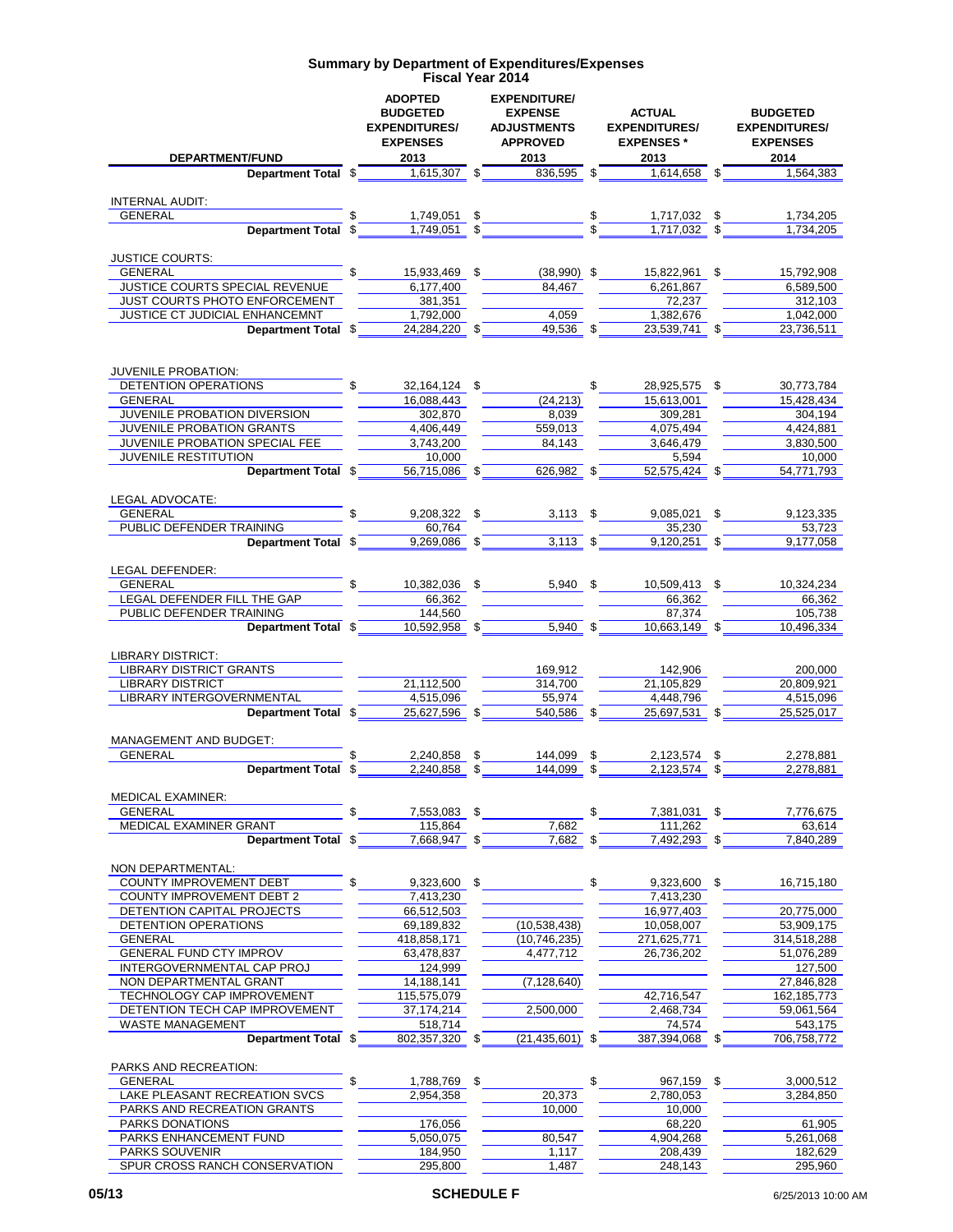| DEPARTMENT/FUND                                    | <b>ADOPTED</b><br><b>BUDGETED</b><br><b>EXPENDITURES/</b><br><b>EXPENSES</b><br>2013 | <b>EXPENDITURE/</b><br><b>EXPENSE</b><br><b>ADJUSTMENTS</b><br><b>APPROVED</b><br>2013 | <b>ACTUAL</b><br><b>EXPENDITURES/</b><br><b>EXPENSES</b> *<br>2013 | <b>BUDGETED</b><br><b>EXPENDITURES/</b><br><b>EXPENSES</b><br>2014 |
|----------------------------------------------------|--------------------------------------------------------------------------------------|----------------------------------------------------------------------------------------|--------------------------------------------------------------------|--------------------------------------------------------------------|
| Department Total \$                                | 1,615,307                                                                            | 836,595 \$                                                                             | 1,614,658 \$                                                       | 1.564.383                                                          |
|                                                    |                                                                                      |                                                                                        |                                                                    |                                                                    |
| <b>INTERNAL AUDIT:</b>                             |                                                                                      |                                                                                        |                                                                    |                                                                    |
| <b>GENERAL</b>                                     | 1,749,051<br>\$                                                                      |                                                                                        | $\sim$<br>1,717,032 \$                                             | 1,734,205                                                          |
| Department Total \$                                | 1,749,051                                                                            |                                                                                        | 1,717,032                                                          | 1,734,205                                                          |
|                                                    |                                                                                      |                                                                                        |                                                                    |                                                                    |
| <b>JUSTICE COURTS:</b>                             | \$                                                                                   |                                                                                        |                                                                    |                                                                    |
| GENERAL<br>JUSTICE COURTS SPECIAL REVENUE          | 15,933,469<br>\$<br>6,177,400                                                        | $(38,990)$ \$<br>84,467                                                                | 15,822,961<br>6,261,867                                            | \$<br>15,792,908<br>6.589.500                                      |
| JUST COURTS PHOTO ENFORCEMENT                      | 381,351                                                                              |                                                                                        | 72,237                                                             | 312.103                                                            |
| JUSTICE CT JUDICIAL ENHANCEMNT                     | 1,792,000                                                                            | 4,059                                                                                  | 1,382,676                                                          | 1,042,000                                                          |
| Department Total \$                                | 24,284,220 \$                                                                        | 49,536 \$                                                                              | 23,539,741                                                         | 23,736,511<br>\$                                                   |
|                                                    |                                                                                      |                                                                                        |                                                                    |                                                                    |
|                                                    |                                                                                      |                                                                                        |                                                                    |                                                                    |
| <b>JUVENILE PROBATION:</b>                         |                                                                                      |                                                                                        |                                                                    |                                                                    |
| DETENTION OPERATIONS<br>GENERAL                    | \$<br>32, 164, 124 \$                                                                |                                                                                        | \$<br>28,925,575 \$                                                | 30,773,784                                                         |
| JUVENILE PROBATION DIVERSION                       | 16,088,443<br>302,870                                                                | (24, 213)<br>8,039                                                                     | 15,613,001<br>309,281                                              | 15,428,434<br>304,194                                              |
| JUVENILE PROBATION GRANTS                          | 4,406,449                                                                            | 559,013                                                                                | 4,075,494                                                          | 4,424,881                                                          |
| JUVENILE PROBATION SPECIAL FEE                     | 3,743,200                                                                            | 84,143                                                                                 | 3,646,479                                                          | 3,830,500                                                          |
| <b>JUVENILE RESTITUTION</b>                        | 10.000                                                                               |                                                                                        | 5,594                                                              | 10,000                                                             |
| Department Total \$                                | 56,715,086 \$                                                                        | 626,982                                                                                | 52,575,424 \$                                                      | 54,771,793                                                         |
|                                                    |                                                                                      |                                                                                        |                                                                    |                                                                    |
| LEGAL ADVOCATE:                                    |                                                                                      |                                                                                        |                                                                    |                                                                    |
| <b>GENERAL</b>                                     | 9,208,322 \$                                                                         | $3,113$ \$                                                                             | $9,085,021$ \$                                                     | 9,123,335                                                          |
| PUBLIC DEFENDER TRAINING                           | 60.764                                                                               |                                                                                        | 35,230                                                             | 53.723                                                             |
| Department Total \$                                | 9,269,086 \$                                                                         | $3,113$ \$                                                                             | 9,120,251 \$                                                       | 9,177,058                                                          |
|                                                    |                                                                                      |                                                                                        |                                                                    |                                                                    |
| LEGAL DEFENDER:<br><b>GENERAL</b>                  | \$<br>10,382,036 \$                                                                  | $5.940$ \$                                                                             | 10,509,413 \$                                                      | 10,324,234                                                         |
| LEGAL DEFENDER FILL THE GAP                        | 66,362                                                                               |                                                                                        | 66,362                                                             | 66.362                                                             |
| PUBLIC DEFENDER TRAINING                           | 144,560                                                                              |                                                                                        | 87,374                                                             | 105,738                                                            |
| Department Total \$                                | 10,592,958 \$                                                                        | 5,940 \$                                                                               | 10,663,149 \$                                                      | 10,496,334                                                         |
|                                                    |                                                                                      |                                                                                        |                                                                    |                                                                    |
| <b>LIBRARY DISTRICT:</b>                           |                                                                                      |                                                                                        |                                                                    |                                                                    |
| <b>LIBRARY DISTRICT GRANTS</b>                     |                                                                                      | 169,912                                                                                | 142,906                                                            | 200,000                                                            |
| <b>LIBRARY DISTRICT</b>                            | 21,112,500                                                                           | 314,700                                                                                | 21,105,829                                                         | 20,809,921                                                         |
| LIBRARY INTERGOVERNMENTAL                          | 4,515,096                                                                            | 55.974                                                                                 | 4,448,796                                                          | 4,515,096                                                          |
| Department Total \$                                | 25,627,596 \$                                                                        | 540,586 \$                                                                             | 25,697,531 \$                                                      | 25,525,017                                                         |
| <b>MANAGEMENT AND BUDGET:</b>                      |                                                                                      |                                                                                        |                                                                    |                                                                    |
| <b>GENERAL</b>                                     | 2,240,858<br>\$                                                                      | 144.099                                                                                | 2,123,574<br>\$                                                    | 2,278,881<br>\$                                                    |
| Department Total \$                                | 2,240,858<br>\$                                                                      | 144.099                                                                                | 2.123.574                                                          | 2.278.881<br>\$                                                    |
|                                                    |                                                                                      |                                                                                        |                                                                    |                                                                    |
| MEDICAL EXAMINER:                                  |                                                                                      |                                                                                        |                                                                    |                                                                    |
| GENERAL                                            | 7,553,083<br>\$                                                                      |                                                                                        | \$<br>7,381,031 \$                                                 | 7,776,675                                                          |
| MEDICAL EXAMINER GRANT                             | 115,864                                                                              | 7,682                                                                                  | 111,262                                                            | 63,614                                                             |
| Department Total \$                                | $7,668,947$ \$                                                                       | 7,682 \$                                                                               | 7,492,293 \$                                                       | 7,840,289                                                          |
| NON DEPARTMENTAL:                                  |                                                                                      |                                                                                        |                                                                    |                                                                    |
| COUNTY IMPROVEMENT DEBT                            | \$<br>9,323,600<br>\$                                                                |                                                                                        | \$<br>$9,323,600$ \$                                               | 16,715,180                                                         |
| <b>COUNTY IMPROVEMENT DEBT 2</b>                   | 7,413,230                                                                            |                                                                                        | 7,413,230                                                          |                                                                    |
| DETENTION CAPITAL PROJECTS                         | 66,512,503                                                                           |                                                                                        | 16,977,403                                                         | 20,775,000                                                         |
| DETENTION OPERATIONS                               | 69,189,832                                                                           | (10,538,438)                                                                           | 10,058,007                                                         | 53,909,175                                                         |
| GENERAL                                            | 418,858,171                                                                          | (10, 746, 235)                                                                         | 271,625,771                                                        | 314,518,288                                                        |
| <b>GENERAL FUND CTY IMPROV</b>                     | 63,478,837                                                                           | 4,477,712                                                                              | 26,736,202                                                         | 51,076,289                                                         |
| INTERGOVERNMENTAL CAP PROJ                         | 124,999                                                                              |                                                                                        |                                                                    | 127,500                                                            |
| NON DEPARTMENTAL GRANT                             | 14,188,141                                                                           | (7, 128, 640)                                                                          |                                                                    | 27,846,828                                                         |
| TECHNOLOGY CAP IMPROVEMENT                         | 115,575,079                                                                          |                                                                                        | 42,716,547                                                         | 162, 185, 773                                                      |
| DETENTION TECH CAP IMPROVEMENT<br>WASTE MANAGEMENT | 37, 174, 214<br>518,714                                                              | 2,500,000                                                                              | 2,468,734<br>74,574                                                | 59,061,564<br>543,175                                              |
| Department Total \$                                | 802,357,320 \$                                                                       | $(21, 435, 601)$ \$                                                                    | 387,394,068                                                        | 706,758,772<br>\$                                                  |
|                                                    |                                                                                      |                                                                                        |                                                                    |                                                                    |
| PARKS AND RECREATION:                              |                                                                                      |                                                                                        |                                                                    |                                                                    |
| <b>GENERAL</b>                                     | \$<br>1,788,769<br>\$                                                                |                                                                                        | \$<br>967,159                                                      | \$<br>3,000,512                                                    |
| LAKE PLEASANT RECREATION SVCS                      | 2,954,358                                                                            | 20,373                                                                                 | 2,780,053                                                          | 3,284,850                                                          |
| PARKS AND RECREATION GRANTS                        |                                                                                      | 10,000                                                                                 | 10,000                                                             |                                                                    |
| PARKS DONATIONS                                    | 176,056                                                                              |                                                                                        | 68,220                                                             | 61,905                                                             |
| PARKS ENHANCEMENT FUND                             | 5,050,075                                                                            | 80,547                                                                                 | 4,904,268                                                          | 5,261,068                                                          |
| PARKS SOUVENIR<br>SPUR CROSS RANCH CONSERVATION    | 184,950<br>295,800                                                                   | 1,117                                                                                  | 208,439                                                            | 182,629                                                            |
|                                                    |                                                                                      | 1,487                                                                                  | 248,143                                                            | 295,960                                                            |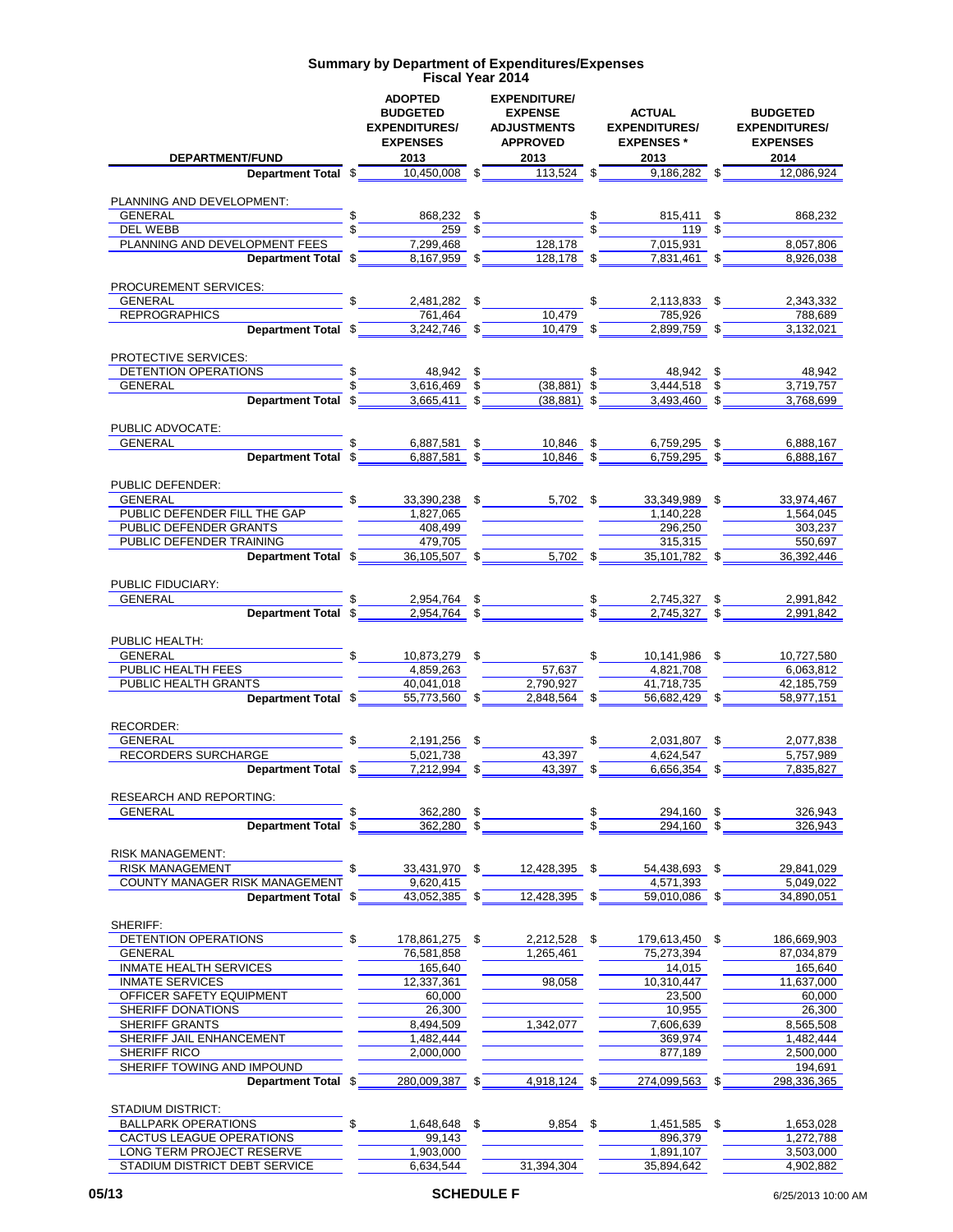| DEPARTMENT/FUND                                    | <b>ADOPTED</b><br><b>BUDGETED</b><br><b>EXPENDITURES/</b><br><b>EXPENSES</b><br>2013 | <b>EXPENDITURE/</b><br><b>EXPENSE</b><br><b>ADJUSTMENTS</b><br><b>APPROVED</b><br>2013 |                       | <b>ACTUAL</b><br><b>EXPENDITURES/</b><br><b>EXPENSES*</b><br>2013 |     | <b>BUDGETED</b><br><b>EXPENDITURES/</b><br><b>EXPENSES</b><br>2014 |
|----------------------------------------------------|--------------------------------------------------------------------------------------|----------------------------------------------------------------------------------------|-----------------------|-------------------------------------------------------------------|-----|--------------------------------------------------------------------|
| Department Total \$                                | 10,450,008 \$                                                                        | $113,524$ \$                                                                           |                       | $9,186,282$ \$                                                    |     | 12,086,924                                                         |
|                                                    |                                                                                      |                                                                                        |                       |                                                                   |     |                                                                    |
| PLANNING AND DEVELOPMENT:                          |                                                                                      |                                                                                        |                       |                                                                   |     |                                                                    |
| GENERAL<br>DEL WEBB                                | \$<br>868,232<br>259S                                                                | \$                                                                                     | $\mathcal{L}_{\perp}$ | 815,411 \$<br>119S                                                |     | 868,232                                                            |
| PLANNING AND DEVELOPMENT FEES                      | 7,299,468                                                                            | 128,178                                                                                |                       | 7,015,931                                                         |     | 8,057,806                                                          |
| Department Total \$                                | $8,167,959$ \$                                                                       | 128,178 \$                                                                             |                       | 7,831,461 \$                                                      |     | 8,926,038                                                          |
|                                                    |                                                                                      |                                                                                        |                       |                                                                   |     |                                                                    |
| PROCUREMENT SERVICES:                              |                                                                                      |                                                                                        |                       |                                                                   |     |                                                                    |
| <b>GENERAL</b>                                     | \$<br>2,481,282 \$                                                                   |                                                                                        | \$                    | 2,113,833 \$                                                      |     | 2,343,332                                                          |
| <b>REPROGRAPHICS</b><br>Department Total \$        | 761,464<br>3,242,746 \$                                                              | 10,479<br>10,479 \$                                                                    |                       | 785,926<br>2,899,759 \$                                           |     | 788,689<br>3,132,021                                               |
|                                                    |                                                                                      |                                                                                        |                       |                                                                   |     |                                                                    |
| PROTECTIVE SERVICES:                               |                                                                                      |                                                                                        |                       |                                                                   |     |                                                                    |
| DETENTION OPERATIONS                               | \$<br>48,942 \$                                                                      |                                                                                        | \$                    | 48,942 \$                                                         |     | 48,942                                                             |
| <b>GENERAL</b>                                     | \$<br>$3,616,469$ \$                                                                 | $(38, 881)$ \$                                                                         |                       | $3,444,518$ \$                                                    |     | 3,719,757                                                          |
| Department Total \$                                | 3,665,411 \$                                                                         | $(38, 881)$ \$                                                                         |                       | 3,493,460 \$                                                      |     | 3.768.699                                                          |
|                                                    |                                                                                      |                                                                                        |                       |                                                                   |     |                                                                    |
| PUBLIC ADVOCATE:<br><b>GENERAL</b>                 | \$<br>6.887.581                                                                      | \$<br>10.846 \$                                                                        |                       | 6,759,295 \$                                                      |     | 6,888,167                                                          |
| Department Total \$                                | 6.887.581                                                                            | \$<br>10.846                                                                           |                       | 6.759.295                                                         |     | 6,888,167                                                          |
|                                                    |                                                                                      |                                                                                        |                       |                                                                   |     |                                                                    |
| PUBLIC DEFENDER:                                   |                                                                                      |                                                                                        |                       |                                                                   |     |                                                                    |
| <b>GENERAL</b>                                     | \$<br>33,390,238 \$                                                                  | 5,702 \$                                                                               |                       | 33,349,989 \$                                                     |     | 33,974,467                                                         |
| PUBLIC DEFENDER FILL THE GAP                       | 1,827,065                                                                            |                                                                                        |                       | 1,140,228                                                         |     | 1,564,045                                                          |
| PUBLIC DEFENDER GRANTS<br>PUBLIC DEFENDER TRAINING | 408,499<br>479,705                                                                   |                                                                                        |                       | 296,250<br>315,315                                                |     | 303,237<br>550,697                                                 |
| Department Total \$                                | 36,105,507 \$                                                                        | $5,702$ \$                                                                             |                       | 35,101,782 \$                                                     |     | 36,392,446                                                         |
|                                                    |                                                                                      |                                                                                        |                       |                                                                   |     |                                                                    |
| PUBLIC FIDUCIARY:                                  |                                                                                      |                                                                                        |                       |                                                                   |     |                                                                    |
| <b>GENERAL</b>                                     | \$<br>2,954,764 \$                                                                   |                                                                                        |                       | 2,745,327 \$                                                      |     | 2,991,842                                                          |
| <b>Department Total</b>                            | \$<br>$2,954,764$ \$                                                                 |                                                                                        |                       | $2,745,327$ \$                                                    |     | 2,991,842                                                          |
|                                                    |                                                                                      |                                                                                        |                       |                                                                   |     |                                                                    |
| PUBLIC HEALTH:<br><b>GENERAL</b>                   | \$<br>10,873,279 \$                                                                  |                                                                                        | \$                    | 10,141,986 \$                                                     |     | 10,727,580                                                         |
| PUBLIC HEALTH FEES                                 | 4,859,263                                                                            | 57,637                                                                                 |                       | 4,821,708                                                         |     | 6,063,812                                                          |
| PUBLIC HEALTH GRANTS                               | 40,041,018                                                                           | 2,790,927                                                                              |                       | 41,718,735                                                        |     | 42,185,759                                                         |
| Department Total \$                                | 55,773,560 \$                                                                        | 2,848,564 \$                                                                           |                       | 56,682,429 \$                                                     |     | 58,977,151                                                         |
|                                                    |                                                                                      |                                                                                        |                       |                                                                   |     |                                                                    |
| RECORDER:                                          |                                                                                      |                                                                                        |                       |                                                                   |     |                                                                    |
| <b>GENERAL</b><br><b>RECORDERS SURCHARGE</b>       | 2.191.256<br>5,021,738                                                               | \$<br>43.397                                                                           |                       | 2,031,807 \$<br>4,624,547                                         |     | 2,077,838<br>5,757,989                                             |
| Department Total \$                                | 7,212,994 \$                                                                         | 43,397 \$                                                                              |                       | 6,656,354 \$                                                      |     | 7,835,827                                                          |
|                                                    |                                                                                      |                                                                                        |                       |                                                                   |     |                                                                    |
| <b>RESEARCH AND REPORTING:</b>                     |                                                                                      |                                                                                        |                       |                                                                   |     |                                                                    |
| <b>GENERAL</b>                                     | \$<br>362,280                                                                        | \$                                                                                     |                       | 294,160                                                           |     | 326,943                                                            |
| <b>Department Total</b>                            | \$<br>362,280                                                                        | \$                                                                                     |                       | 294,160                                                           |     | 326,943                                                            |
| <b>RISK MANAGEMENT:</b>                            |                                                                                      |                                                                                        |                       |                                                                   |     |                                                                    |
| <b>RISK MANAGEMENT</b>                             | \$<br>33,431,970 \$                                                                  | 12,428,395 \$                                                                          |                       | 54,438,693 \$                                                     |     | 29,841,029                                                         |
| COUNTY MANAGER RISK MANAGEMENT                     | 9,620,415                                                                            |                                                                                        |                       | 4,571,393                                                         |     | 5,049,022                                                          |
| Department Total \$                                | 43,052,385                                                                           | \$<br>12,428,395                                                                       | \$                    | 59,010,086 \$                                                     |     | 34,890,051                                                         |
|                                                    |                                                                                      |                                                                                        |                       |                                                                   |     |                                                                    |
| SHERIFF:                                           |                                                                                      |                                                                                        |                       |                                                                   |     |                                                                    |
| DETENTION OPERATIONS<br><b>GENERAL</b>             | \$<br>178,861,275<br>76,581,858                                                      | \$<br>2,212,528 \$<br>1,265,461                                                        |                       | 179,613,450 \$                                                    |     | 186,669,903<br>87,034,879                                          |
| <b>INMATE HEALTH SERVICES</b>                      | 165,640                                                                              |                                                                                        |                       | 75,273,394<br>14,015                                              |     | 165,640                                                            |
| <b>INMATE SERVICES</b>                             | 12,337,361                                                                           | 98,058                                                                                 |                       | 10,310,447                                                        |     | 11,637,000                                                         |
| OFFICER SAFETY EQUIPMENT                           | 60,000                                                                               |                                                                                        |                       | 23,500                                                            |     | 60,000                                                             |
| SHERIFF DONATIONS                                  | 26,300                                                                               |                                                                                        |                       | 10,955                                                            |     | 26,300                                                             |
| SHERIFF GRANTS                                     | 8,494,509                                                                            | 1,342,077                                                                              |                       | 7,606,639                                                         |     | 8,565,508                                                          |
| SHERIFF JAIL ENHANCEMENT                           | 1,482,444                                                                            |                                                                                        |                       | 369,974                                                           |     | 1,482,444                                                          |
| SHERIFF RICO                                       | 2,000,000                                                                            |                                                                                        |                       | 877,189                                                           |     | 2,500,000                                                          |
| SHERIFF TOWING AND IMPOUND<br>Department Total \$  | 280,009,387                                                                          | \$<br>4,918,124                                                                        | -\$                   | 274,099,563 \$                                                    |     | 194,691<br>298,336,365                                             |
|                                                    |                                                                                      |                                                                                        |                       |                                                                   |     |                                                                    |
| <b>STADIUM DISTRICT:</b>                           |                                                                                      |                                                                                        |                       |                                                                   |     |                                                                    |
| <b>BALLPARK OPERATIONS</b>                         | \$<br>1,648,648                                                                      | \$<br>9,854                                                                            | \$                    | 1,451,585                                                         | -\$ | 1,653,028                                                          |
| CACTUS LEAGUE OPERATIONS                           | 99,143                                                                               |                                                                                        |                       | 896,379                                                           |     | 1,272,788                                                          |
| LONG TERM PROJECT RESERVE                          | 1,903,000                                                                            |                                                                                        |                       | 1,891,107                                                         |     | 3,503,000                                                          |
| STADIUM DISTRICT DEBT SERVICE                      | 6,634,544                                                                            | 31,394,304                                                                             |                       | 35,894,642                                                        |     | 4,902,882                                                          |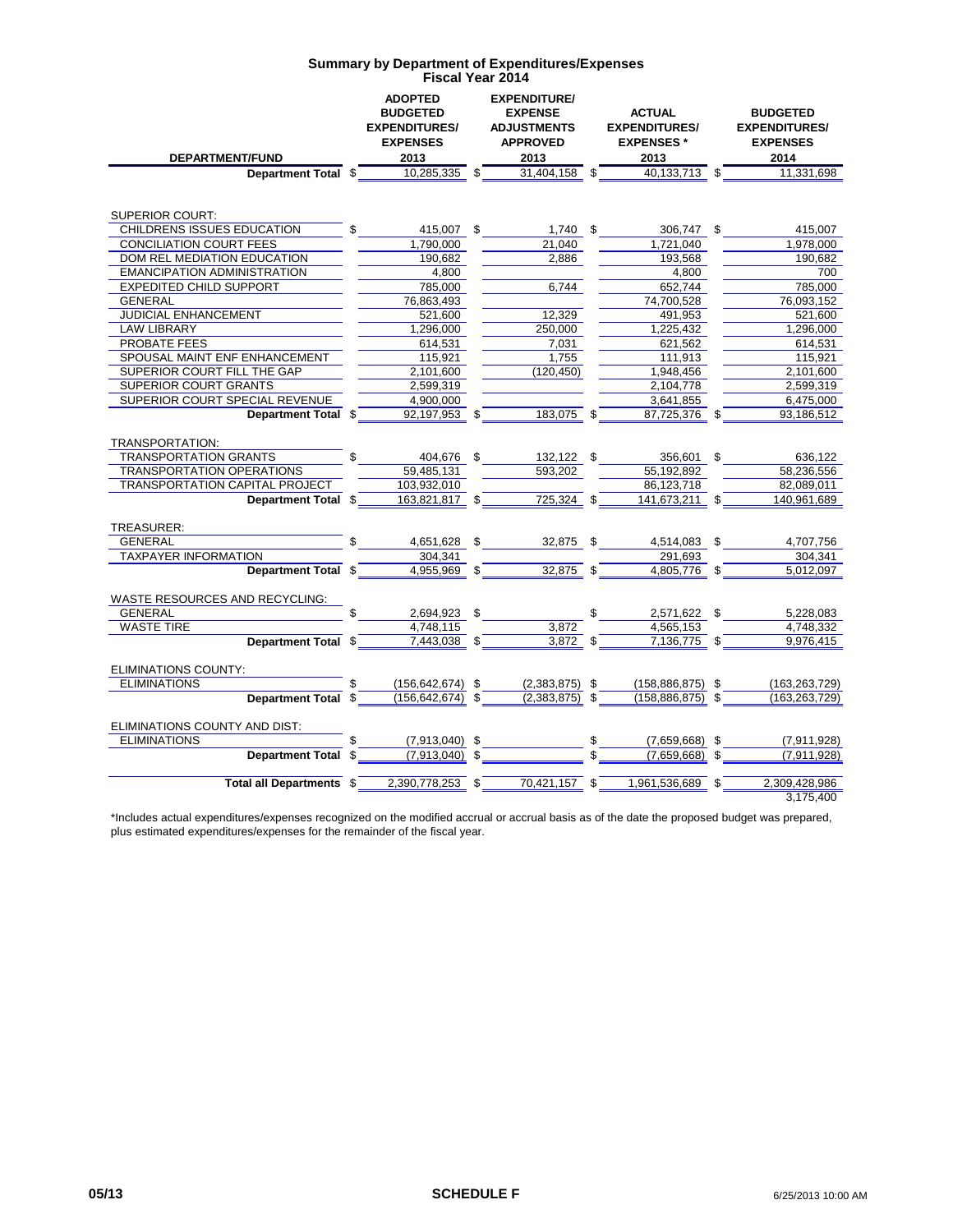|                                                 | <b>ADOPTED</b><br><b>BUDGETED</b><br><b>EXPENDITURES/</b> | <b>EXPENDITURE/</b><br><b>EXPENSE</b><br><b>ADJUSTMENTS</b> | <b>ACTUAL</b><br><b>EXPENDITURES/</b> | <b>BUDGETED</b><br><b>EXPENDITURES/</b> |
|-------------------------------------------------|-----------------------------------------------------------|-------------------------------------------------------------|---------------------------------------|-----------------------------------------|
|                                                 | <b>EXPENSES</b>                                           | <b>APPROVED</b>                                             | <b>EXPENSES*</b>                      | <b>EXPENSES</b>                         |
| DEPARTMENT/FUND                                 | 2013                                                      | 2013                                                        | 2013                                  | 2014                                    |
| Department Total \$                             | $10,285,335$ \$                                           | 31,404,158                                                  | \$<br>40,133,713 \$                   | 11,331,698                              |
|                                                 |                                                           |                                                             |                                       |                                         |
| <b>SUPERIOR COURT:</b>                          |                                                           |                                                             |                                       |                                         |
| CHILDRENS ISSUES EDUCATION                      | \$<br>415,007 \$                                          | $1,740$ \$                                                  | 306,747 \$                            | 415,007                                 |
| CONCILIATION COURT FEES                         | 1,790,000                                                 | 21,040                                                      | 1,721,040                             | 1,978,000                               |
| DOM REL MEDIATION EDUCATION                     | 190.682                                                   | 2,886                                                       | 193.568                               | 190.682                                 |
| <b>EMANCIPATION ADMINISTRATION</b>              | 4,800                                                     |                                                             | 4,800                                 | 700                                     |
| <b>EXPEDITED CHILD SUPPORT</b>                  | 785,000                                                   | 6,744                                                       | 652,744                               | 785,000                                 |
| GENERAL                                         | 76,863,493                                                |                                                             | 74,700,528                            | 76,093,152                              |
| JUDICIAL ENHANCEMENT                            | 521,600                                                   | 12.329                                                      | 491,953                               | 521,600                                 |
| LAW LIBRARY                                     | 1,296,000                                                 | 250.000                                                     | 1,225,432                             | 1,296,000                               |
| PROBATE FEES                                    | 614.531                                                   | 7.031                                                       | 621.562                               | 614.531                                 |
| SPOUSAL MAINT ENF ENHANCEMENT                   | 115,921                                                   | 1,755                                                       | 111,913                               | 115,921                                 |
| SUPERIOR COURT FILL THE GAP                     | 2.101.600                                                 | (120.450)                                                   | 1.948.456                             | 2,101,600                               |
| <b>SUPERIOR COURT GRANTS</b>                    | 2,599,319                                                 |                                                             | 2,104,778                             | 2.599.319                               |
| SUPERIOR COURT SPECIAL REVENUE                  | 4,900,000                                                 |                                                             | 3,641,855                             | 6,475,000                               |
| Department Total \$                             | 92,197,953 \$                                             | 183,075 \$                                                  | 87,725,376 \$                         | 93,186,512                              |
|                                                 |                                                           |                                                             |                                       |                                         |
| TRANSPORTATION:<br><b>TRANSPORTATION GRANTS</b> | 404,676 \$                                                | 132,122 \$                                                  | 356,601                               | \$<br>636,122                           |
| TRANSPORTATION OPERATIONS                       | 59,485,131                                                | 593,202                                                     | 55,192,892                            | 58,236,556                              |
| <b>TRANSPORTATION CAPITAL PROJECT</b>           | 103,932,010                                               |                                                             | 86,123,718                            | 82,089,011                              |
| Department Total \$                             | 163,821,817 \$                                            | 725.324                                                     | \$<br>141,673,211 \$                  | 140,961,689                             |
|                                                 |                                                           |                                                             |                                       |                                         |
| TREASURER:                                      |                                                           |                                                             |                                       |                                         |
| <b>GENERAL</b>                                  | 4,651,628 \$                                              | 32,875                                                      | \$<br>4,514,083                       | \$<br>4,707,756                         |
| <b>TAXPAYER INFORMATION</b>                     | 304.341                                                   |                                                             | 291.693                               | 304,341                                 |
| Department Total \$                             | 4,955,969 \$                                              | $32,875$ \$                                                 | 4,805,776 \$                          | 5,012,097                               |
|                                                 |                                                           |                                                             |                                       |                                         |
| WASTE RESOURCES AND RECYCLING:                  |                                                           |                                                             |                                       |                                         |
| <b>GENERAL</b>                                  | \$<br>2,694,923 \$                                        |                                                             | \$<br>2,571,622 \$                    | 5,228,083                               |
| <b>WASTE TIRE</b>                               | 4,748,115                                                 | 3,872                                                       | 4,565,153                             | 4,748,332                               |
| Department Total \$                             | $7,443,038$ \$                                            | $3,872$ \$                                                  | $7,136,775$ \$                        | 9,976,415                               |
|                                                 |                                                           |                                                             |                                       |                                         |
| <b>ELIMINATIONS COUNTY:</b>                     |                                                           |                                                             |                                       |                                         |
| <b>ELIMINATIONS</b>                             | \$<br>$(156, 642, 674)$ \$                                | $(2,383,875)$ \$                                            | $(158, 886, 875)$ \$                  | (163, 263, 729)                         |
| Department Total \$                             | $(156, 642, 674)$ \$                                      | $(2,383,875)$ \$                                            | $(158, 886, 875)$ \$                  | (163, 263, 729)                         |
| ELIMINATIONS COUNTY AND DIST:                   |                                                           |                                                             |                                       |                                         |
| <b>ELIMINATIONS</b>                             | \$<br>$(7,913,040)$ \$                                    |                                                             | \$<br>$(7,659,668)$ \$                | (7,911,928)                             |
| Department Total \$                             | $(7,913,040)$ \$                                          |                                                             | $(7,659,668)$ \$                      | (7,911,928)                             |
|                                                 |                                                           |                                                             |                                       |                                         |
| Total all Departments \$                        | 2,390,778,253 \$                                          | 70,421,157 \$                                               | 1,961,536,689 \$                      | 2,309,428,986                           |
|                                                 |                                                           |                                                             |                                       | 3,175,400                               |

\*Includes actual expenditures/expenses recognized on the modified accrual or accrual basis as of the date the proposed budget was prepared, plus estimated expenditures/expenses for the remainder of the fiscal year.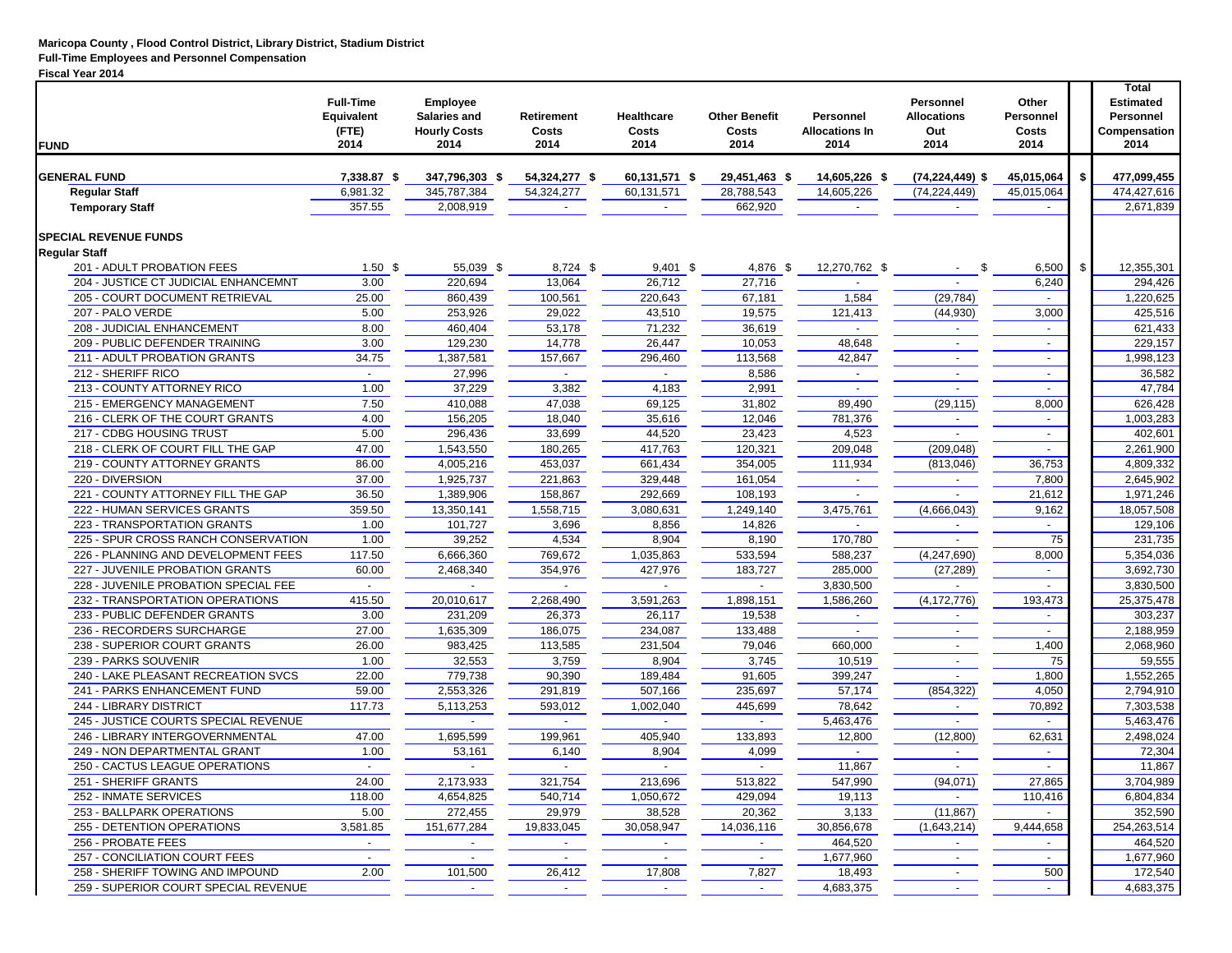#### **Maricopa County , Flood Control District, Library District, Stadium District Full-Time Employees and Personnel Compensation**

#### **Fiscal Year 2014**

| <b>FUND</b>                          | <b>Full-Time</b><br>Equivalent<br>(FTE)<br>2014 | Employee<br>Salaries and<br><b>Hourly Costs</b><br>2014 | <b>Retirement</b><br>Costs<br>2014 | <b>Healthcare</b><br>Costs<br>2014 | <b>Other Benefit</b><br>Costs<br>2014 | Personnel<br><b>Allocations In</b><br>2014 | <b>Personnel</b><br><b>Allocations</b><br>Out<br>2014 | Other<br>Personnel<br>Costs<br>2014 | <b>Total</b><br><b>Estimated</b><br>Personnel<br>Compensation<br>2014 |
|--------------------------------------|-------------------------------------------------|---------------------------------------------------------|------------------------------------|------------------------------------|---------------------------------------|--------------------------------------------|-------------------------------------------------------|-------------------------------------|-----------------------------------------------------------------------|
| <b>GENERAL FUND</b>                  | 7,338.87 \$                                     | 347,796,303 \$                                          | 54,324,277 \$                      | 60,131,571 \$                      | 29,451,463 \$                         | 14,605,226 \$                              | $(74, 224, 449)$ \$                                   | 45.015.064                          | \$<br>477,099,455                                                     |
| <b>Regular Staff</b>                 | 6,981.32                                        | 345,787,384                                             | 54,324,277                         | 60,131,571                         | 28,788,543                            | 14,605,226                                 | (74, 224, 449)                                        | 45,015,064                          | 474,427,616                                                           |
| <b>Temporary Staff</b>               | 357.55                                          | 2,008,919                                               | $\blacksquare$                     | $\sim$                             | 662,920                               | $\sim$                                     |                                                       |                                     | 2,671,839                                                             |
|                                      |                                                 |                                                         |                                    |                                    |                                       |                                            |                                                       |                                     |                                                                       |
| <b>SPECIAL REVENUE FUNDS</b>         |                                                 |                                                         |                                    |                                    |                                       |                                            |                                                       |                                     |                                                                       |
| <b>Regular Staff</b>                 |                                                 |                                                         |                                    |                                    |                                       |                                            |                                                       |                                     |                                                                       |
| 201 - ADULT PROBATION FEES           | 1.50 <sup>5</sup>                               | 55,039 \$                                               | 8,724 \$                           | $9,401$ \$                         | 4,876 \$                              | 12,270,762 \$                              | \$                                                    | 6,500                               | \$<br>12,355,301                                                      |
| 204 - JUSTICE CT JUDICIAL ENHANCEMNT | 3.00                                            | 220,694                                                 | 13,064                             | 26,712                             | 27,716                                |                                            |                                                       | 6,240                               | 294,426                                                               |
| 205 - COURT DOCUMENT RETRIEVAL       | 25.00                                           | 860,439                                                 | 100,561                            | 220,643                            | 67,181                                | 1,584                                      | (29, 784)                                             | $\sim$                              | 1,220,625                                                             |
| 207 - PALO VERDE                     | 5.00                                            | 253,926                                                 | 29,022                             | 43,510                             | 19,575                                | 121,413                                    | (44, 930)                                             | 3,000                               | 425,516                                                               |
| 208 - JUDICIAL ENHANCEMENT           | 8.00                                            | 460,404                                                 | 53,178                             | 71,232                             | 36,619                                | $\sim$                                     |                                                       | $\overline{\phantom{a}}$            | 621,433                                                               |
| 209 - PUBLIC DEFENDER TRAINING       | 3.00                                            | 129,230                                                 | 14,778                             | 26,447                             | 10,053                                | 48,648                                     | $\sim$                                                | $\sim$                              | 229,157                                                               |
| 211 - ADULT PROBATION GRANTS         | 34.75                                           | 1,387,581                                               | 157,667                            | 296,460                            | 113,568                               | 42,847                                     |                                                       | $\overline{\phantom{a}}$            | 1,998,123                                                             |
| 212 - SHERIFF RICO                   | $\sim$                                          | 27,996                                                  |                                    | $\sim$                             | 8,586                                 | $\sim$                                     |                                                       | $\sim$                              | 36,582                                                                |
| 213 - COUNTY ATTORNEY RICO           | 1.00                                            | 37,229                                                  | 3,382                              | 4,183                              | 2,991                                 |                                            |                                                       |                                     | 47,784                                                                |
| 215 - EMERGENCY MANAGEMENT           | 7.50                                            | 410,088                                                 | 47,038                             | 69,125                             | 31,802                                | 89,490                                     | (29, 115)                                             | 8,000                               | 626,428                                                               |
| 216 - CLERK OF THE COURT GRANTS      | 4.00                                            | 156,205                                                 | 18,040                             | 35,616                             | 12,046                                | 781,376                                    | $\overline{\phantom{a}}$                              | $\sim$                              | 1,003,283                                                             |
| 217 - CDBG HOUSING TRUST             | 5.00                                            | 296,436                                                 | 33,699                             | 44,520                             | 23,423                                | 4,523                                      |                                                       | $\overline{\phantom{a}}$            | 402,601                                                               |
| 218 - CLERK OF COURT FILL THE GAP    | 47.00                                           | 1,543,550                                               | 180,265                            | 417,763                            | 120,321                               | 209,048                                    | (209, 048)                                            |                                     | 2,261,900                                                             |
| 219 - COUNTY ATTORNEY GRANTS         | 86.00                                           | 4,005,216                                               | 453,037                            | 661,434                            | 354,005                               | 111,934                                    | (813,046)                                             | 36,753                              | 4,809,332                                                             |
| 220 - DIVERSION                      | 37.00                                           | 1,925,737                                               | 221,863                            | 329,448                            | 161,054                               | $\overline{\phantom{a}}$                   |                                                       | 7,800                               | 2,645,902                                                             |
| 221 - COUNTY ATTORNEY FILL THE GAP   | 36.50                                           | 1,389,906                                               | 158,867                            | 292,669                            | 108,193                               |                                            | $\sim$                                                | 21,612                              | 1,971,246                                                             |
|                                      | 359.50                                          |                                                         |                                    |                                    | 1,249,140                             | 3,475,761                                  | (4,666,043)                                           |                                     | 18,057,508                                                            |
| 222 - HUMAN SERVICES GRANTS          |                                                 | 13,350,141                                              | 1,558,715                          | 3,080,631                          |                                       |                                            |                                                       | 9,162                               |                                                                       |
| 223 - TRANSPORTATION GRANTS          | 1.00                                            | 101,727                                                 | 3,696                              | 8,856                              | 14,826                                |                                            |                                                       |                                     | 129,106                                                               |
| 225 - SPUR CROSS RANCH CONSERVATION  | 1.00                                            | 39,252                                                  | 4,534                              | 8,904                              | 8,190                                 | 170,780                                    |                                                       | 75                                  | 231,735                                                               |
| 226 - PLANNING AND DEVELOPMENT FEES  | 117.50                                          | 6,666,360                                               | 769,672                            | 1,035,863                          | 533,594                               | 588,237                                    | (4,247,690)                                           | 8,000                               | 5,354,036                                                             |
| 227 - JUVENILE PROBATION GRANTS      | 60.00                                           | 2,468,340                                               | 354,976                            | 427,976                            | 183,727                               | 285,000                                    | (27, 289)                                             | $\sim$                              | 3,692,730                                                             |
| 228 - JUVENILE PROBATION SPECIAL FEE | $\blacksquare$                                  |                                                         |                                    | $\blacksquare$                     |                                       | 3,830,500                                  |                                                       |                                     | 3,830,500                                                             |
| 232 - TRANSPORTATION OPERATIONS      | 415.50                                          | 20,010,617                                              | 2,268,490                          | 3,591,263                          | 1,898,151                             | 1,586,260                                  | (4, 172, 776)                                         | 193,473                             | 25,375,478                                                            |
| 233 - PUBLIC DEFENDER GRANTS         | 3.00                                            | 231,209                                                 | 26,373                             | 26,117                             | 19,538                                | $\sim$                                     | $\sim$                                                | $\sim$                              | 303,237                                                               |
| 236 - RECORDERS SURCHARGE            | 27.00                                           | 1,635,309                                               | 186,075                            | 234,087                            | 133,488                               |                                            |                                                       |                                     | 2,188,959                                                             |
| 238 - SUPERIOR COURT GRANTS          | 26.00                                           | 983,425                                                 | 113,585                            | 231,504                            | 79,046                                | 660,000                                    | $\overline{\phantom{a}}$                              | 1,400                               | 2,068,960                                                             |
| 239 - PARKS SOUVENIR                 | 1.00                                            | 32,553                                                  | 3,759                              | 8,904                              | 3,745                                 | 10,519                                     | $\sim$                                                | 75                                  | 59,555                                                                |
| 240 - LAKE PLEASANT RECREATION SVCS  | 22.00                                           | 779,738                                                 | 90,390                             | 189,484                            | 91,605                                | 399,247                                    | $\overline{\phantom{a}}$                              | 1,800                               | 1,552,265                                                             |
| 241 - PARKS ENHANCEMENT FUND         | 59.00                                           | 2,553,326                                               | 291,819                            | 507,166                            | 235,697                               | 57,174                                     | (854, 322)                                            | 4,050                               | 2,794,910                                                             |
| 244 - LIBRARY DISTRICT               | 117.73                                          | 5,113,253                                               | 593,012                            | 1,002,040                          | 445,699                               | 78,642                                     | $\overline{\phantom{a}}$                              | 70,892                              | 7.303.538                                                             |
| 245 - JUSTICE COURTS SPECIAL REVENUE |                                                 |                                                         |                                    |                                    |                                       | 5,463,476                                  |                                                       |                                     | 5,463,476                                                             |
| 246 - LIBRARY INTERGOVERNMENTAL      | 47.00                                           | 1,695,599                                               | 199,961                            | 405,940                            | 133,893                               | 12,800                                     | (12,800)                                              | 62,631                              | 2,498,024                                                             |
| 249 - NON DEPARTMENTAL GRANT         | 1.00                                            | 53,161                                                  | 6,140                              | 8,904                              | 4,099                                 |                                            |                                                       |                                     | 72,304                                                                |
| 250 - CACTUS LEAGUE OPERATIONS       | $\sim$                                          | $\overline{\phantom{a}}$                                | $\sim$                             | $\sim$                             |                                       | 11,867                                     |                                                       |                                     | 11,867                                                                |
| 251 - SHERIFF GRANTS                 | 24.00                                           | 2,173,933                                               | 321,754                            | 213,696                            | 513,822                               | 547,990                                    | (94, 071)                                             | 27,865                              | 3,704,989                                                             |
| 252 - INMATE SERVICES                | 118.00                                          | 4,654,825                                               | 540,714                            | 1,050,672                          | 429,094                               | 19,113                                     |                                                       | 110,416                             | 6,804,834                                                             |
| 253 - BALLPARK OPERATIONS            | 5.00                                            | 272,455                                                 | 29,979                             | 38,528                             | 20,362                                | 3,133                                      | (11, 867)                                             |                                     | 352,590                                                               |
| 255 - DETENTION OPERATIONS           | 3,581.85                                        | 151,677,284                                             | 19,833,045                         | 30,058,947                         | 14,036,116                            | 30,856,678                                 | (1,643,214)                                           | 9,444,658                           | 254,263,514                                                           |
| 256 - PROBATE FEES                   |                                                 |                                                         |                                    |                                    |                                       |                                            |                                                       |                                     |                                                                       |
|                                      |                                                 |                                                         |                                    | $\sim$                             |                                       | 464,520                                    |                                                       |                                     | 464,520                                                               |
| 257 - CONCILIATION COURT FEES        | $\sim$                                          | $\sim$                                                  | $\sim$                             | $\sim$                             | $\overline{\phantom{a}}$              | 1,677,960                                  | $\sim$                                                | $\sim$                              | 1,677,960                                                             |
| 258 - SHERIFF TOWING AND IMPOUND     | 2.00                                            | 101,500                                                 | 26,412                             | 17,808                             | 7,827                                 | 18,493                                     |                                                       | 500                                 | 172,540                                                               |
| 259 - SUPERIOR COURT SPECIAL REVENUE |                                                 | $\sim$                                                  | $\sim$                             | $\sim$                             | $\blacksquare$                        | 4,683,375                                  | $\sim$                                                | $\sim$                              | 4,683,375                                                             |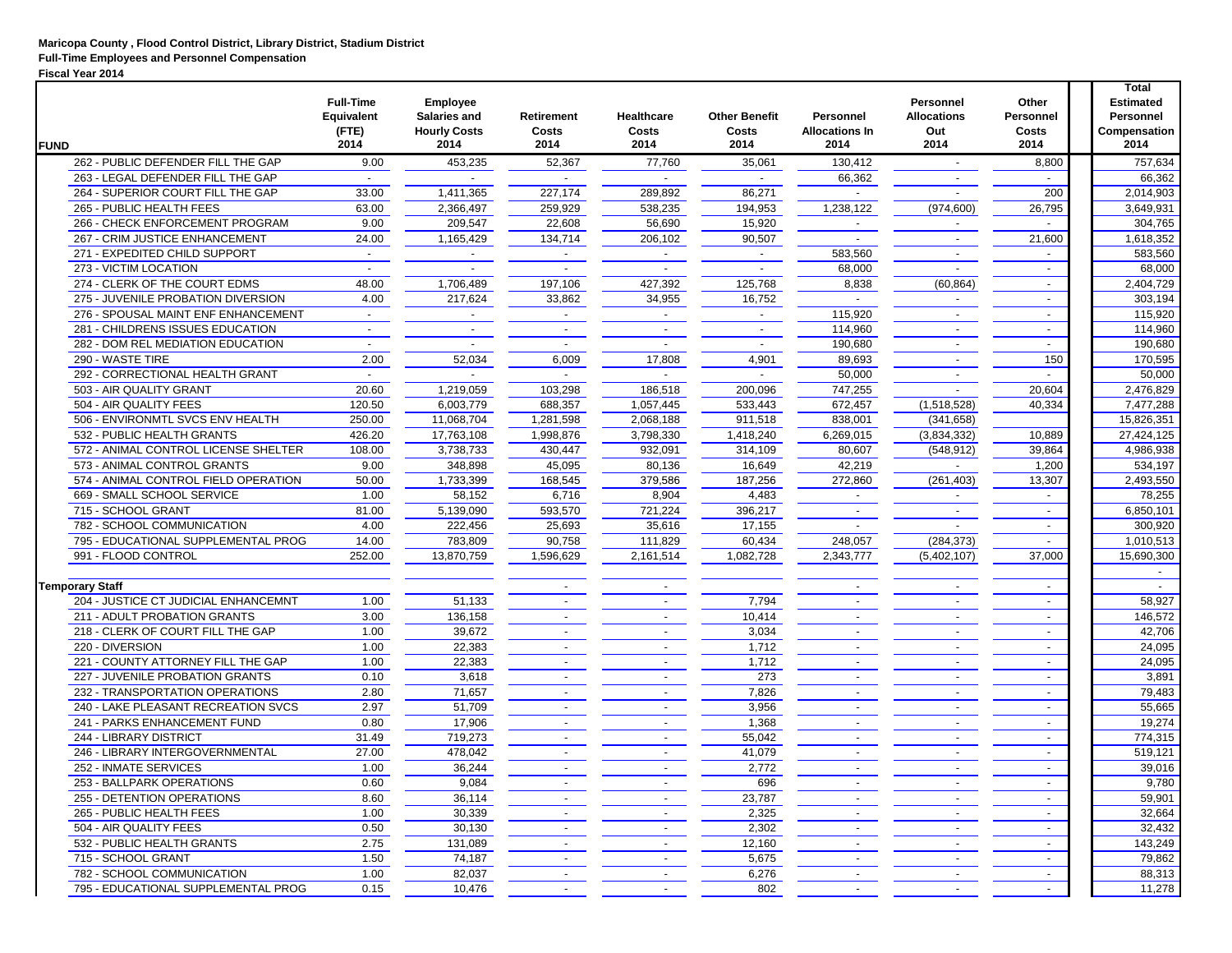| <b>FUND</b>                                       | <b>Full-Time</b><br><b>Equivalent</b><br>(FTE)<br>2014 | <b>Employee</b><br><b>Salaries and</b><br><b>Hourly Costs</b><br>2014 | Retirement<br>Costs<br>2014 | <b>Healthcare</b><br>Costs<br>2014 | <b>Other Benefit</b><br>Costs<br>2014 | Personnel<br><b>Allocations In</b><br>2014 | Personnel<br><b>Allocations</b><br>Out<br>2014 | Other<br>Personnel<br>Costs<br>2014 | <b>Total</b><br><b>Estimated</b><br><b>Personnel</b><br>Compensation<br>2014 |
|---------------------------------------------------|--------------------------------------------------------|-----------------------------------------------------------------------|-----------------------------|------------------------------------|---------------------------------------|--------------------------------------------|------------------------------------------------|-------------------------------------|------------------------------------------------------------------------------|
| 262 - PUBLIC DEFENDER FILL THE GAP                | 9.00                                                   | 453,235                                                               | 52,367                      | 77,760                             | 35,061                                | 130,412                                    | $\sim$                                         | 8,800                               | 757,634                                                                      |
| 263 - LEGAL DEFENDER FILL THE GAP                 |                                                        |                                                                       |                             |                                    |                                       | 66,362                                     | $\overline{\phantom{a}}$                       |                                     | 66,362                                                                       |
| 264 - SUPERIOR COURT FILL THE GAP                 | 33.00                                                  | 1,411,365                                                             | 227,174                     | 289,892                            | 86,271                                |                                            |                                                | 200                                 | 2,014,903                                                                    |
| 265 - PUBLIC HEALTH FEES                          | 63.00                                                  | 2,366,497                                                             | 259,929                     | 538,235                            | 194,953                               | 1,238,122                                  | (974, 600)                                     | 26,795                              | 3,649,931                                                                    |
| 266 - CHECK ENFORCEMENT PROGRAM                   | 9.00                                                   | 209,547                                                               | 22,608                      | 56,690                             | 15,920                                |                                            |                                                |                                     | 304,765                                                                      |
| 267 - CRIM JUSTICE ENHANCEMENT                    | 24.00                                                  | 1,165,429                                                             | 134,714                     | 206,102                            | 90,507                                |                                            |                                                | 21,600                              | 1,618,352                                                                    |
| 271 - EXPEDITED CHILD SUPPORT                     | $\overline{\phantom{a}}$                               |                                                                       |                             |                                    | $\blacksquare$                        | 583,560                                    | $\sim$                                         |                                     | 583,560                                                                      |
| 273 - VICTIM LOCATION                             |                                                        |                                                                       |                             |                                    |                                       | 68,000                                     |                                                | $\overline{\phantom{a}}$            | 68,000                                                                       |
| 274 - CLERK OF THE COURT EDMS                     | 48.00                                                  | 1,706,489                                                             | 197,106                     | 427,392                            | 125,768                               | 8,838                                      | (60, 864)                                      | $\blacksquare$                      | 2,404,729                                                                    |
| 275 - JUVENILE PROBATION DIVERSION                | 4.00                                                   | 217,624                                                               | 33,862                      | 34,955                             | 16,752                                |                                            | $\sim$                                         | $\sim$                              | 303,194                                                                      |
| 276 - SPOUSAL MAINT ENF ENHANCEMENT               | $\blacksquare$                                         |                                                                       |                             | $\sim$                             | $\overline{\phantom{a}}$              | 115,920                                    |                                                | $\blacksquare$                      | 115,920                                                                      |
| 281 - CHILDRENS ISSUES EDUCATION                  | $\overline{\phantom{a}}$                               | $\overline{\phantom{a}}$                                              | $\overline{\phantom{a}}$    | $\blacksquare$                     | $\overline{\phantom{a}}$              | 114,960                                    | $\sim$                                         | $\blacksquare$                      | 114,960                                                                      |
| 282 - DOM REL MEDIATION EDUCATION                 | $\sim$                                                 | $\overline{\phantom{a}}$                                              | $\sim$                      | $\sim$                             | $\overline{\phantom{a}}$              | 190,680                                    | $\overline{\phantom{a}}$                       | $\sim$                              | 190,680                                                                      |
| 290 - WASTE TIRE                                  | 2.00                                                   | 52,034                                                                | 6,009                       | 17,808                             | 4,901                                 | 89,693                                     | $\sim$                                         | 150                                 | 170,595                                                                      |
|                                                   |                                                        |                                                                       |                             |                                    |                                       |                                            |                                                |                                     |                                                                              |
| 292 - CORRECTIONAL HEALTH GRANT                   |                                                        |                                                                       |                             |                                    |                                       | 50,000                                     |                                                |                                     | 50,000                                                                       |
| 503 - AIR QUALITY GRANT<br>504 - AIR QUALITY FEES | 20.60                                                  | 1,219,059                                                             | 103,298                     | 186,518                            | 200,096                               | 747,255                                    |                                                | 20,604                              | 2,476,829                                                                    |
|                                                   | 120.50                                                 | 6,003,779                                                             | 688,357                     | 1,057,445                          | 533,443                               | 672,457                                    | (1,518,528)                                    | 40,334                              | 7,477,288                                                                    |
| 506 - ENVIRONMTL SVCS ENV HEALTH                  | 250.00                                                 | 11,068,704                                                            | 1,281,598                   | 2,068,188                          | 911,518                               | 838,001                                    | (341, 658)                                     |                                     | 15,826,351                                                                   |
| 532 - PUBLIC HEALTH GRANTS                        | 426.20                                                 | 17,763,108                                                            | 1,998,876                   | 3,798,330                          | 1,418,240                             | 6,269,015                                  | (3,834,332)                                    | 10,889                              | 27,424,125                                                                   |
| 572 - ANIMAL CONTROL LICENSE SHELTER              | 108.00                                                 | 3,738,733                                                             | 430,447                     | 932,091                            | 314,109                               | 80,607                                     | (548, 912)                                     | 39,864                              | 4,986,938                                                                    |
| 573 - ANIMAL CONTROL GRANTS                       | 9.00                                                   | 348,898                                                               | 45,095                      | 80,136                             | 16,649                                | 42,219                                     | $\overline{\phantom{a}}$                       | 1,200                               | 534,197                                                                      |
| 574 - ANIMAL CONTROL FIELD OPERATION              | 50.00                                                  | 1,733,399                                                             | 168,545                     | 379,586                            | 187,256                               | 272,860                                    | (261, 403)                                     | 13,307                              | 2,493,550                                                                    |
| 669 - SMALL SCHOOL SERVICE                        | 1.00                                                   | 58,152                                                                | 6,716                       | 8,904                              | 4,483                                 |                                            |                                                |                                     | 78,255                                                                       |
| 715 - SCHOOL GRANT                                | 81.00                                                  | 5,139,090                                                             | 593,570                     | 721,224                            | 396,217                               |                                            |                                                |                                     | 6,850,101                                                                    |
| 782 - SCHOOL COMMUNICATION                        | 4.00                                                   | 222,456                                                               | 25,693                      | 35,616                             | 17,155                                |                                            |                                                | $\sim$                              | 300,920                                                                      |
| 795 - EDUCATIONAL SUPPLEMENTAL PROG               | 14.00                                                  | 783,809                                                               | 90,758                      | 111,829                            | 60,434                                | 248,057                                    | (284, 373)                                     |                                     | 1,010,513                                                                    |
| 991 - FLOOD CONTROL                               | 252.00                                                 | 13,870,759                                                            | 1,596,629                   | 2,161,514                          | 1,082,728                             | 2,343,777                                  | (5,402,107)                                    | 37,000                              | 15,690,300                                                                   |
|                                                   |                                                        |                                                                       |                             |                                    |                                       |                                            |                                                |                                     |                                                                              |
| <b>Temporary Staff</b>                            |                                                        |                                                                       |                             |                                    |                                       |                                            |                                                | $\overline{\phantom{a}}$            |                                                                              |
| 204 - JUSTICE CT JUDICIAL ENHANCEMNT              | 1.00                                                   | 51,133                                                                |                             |                                    | 7,794                                 |                                            |                                                | $\sim$                              | 58,927                                                                       |
| 211 - ADULT PROBATION GRANTS                      | 3.00                                                   | 136,158                                                               | $\blacksquare$              | $\overline{\phantom{a}}$           | 10,414                                | $\overline{\phantom{a}}$                   |                                                | $\sim$                              | 146,572                                                                      |
| 218 - CLERK OF COURT FILL THE GAP                 | 1.00                                                   | 39,672                                                                |                             |                                    | 3,034                                 |                                            |                                                | $\sim$                              | 42,706                                                                       |
| 220 - DIVERSION                                   | 1.00                                                   | 22,383                                                                | $\overline{\phantom{a}}$    | $\sim$                             | 1,712                                 | $\overline{\phantom{a}}$                   | $\overline{\phantom{a}}$                       | $\sim$                              | 24,095                                                                       |
| 221 - COUNTY ATTORNEY FILL THE GAP                | 1.00                                                   | 22,383                                                                |                             |                                    | 1,712                                 |                                            |                                                | $\blacksquare$                      | 24,095                                                                       |
| 227 - JUVENILE PROBATION GRANTS                   | 0.10                                                   | 3,618                                                                 |                             | $\sim$                             | 273                                   | $\sim$                                     |                                                | $\sim$                              | 3,891                                                                        |
| 232 - TRANSPORTATION OPERATIONS                   | 2.80                                                   | 71,657                                                                |                             | $\blacksquare$                     | 7,826                                 |                                            | $\overline{\phantom{a}}$                       | $\overline{\phantom{a}}$            | 79,483                                                                       |
| 240 - LAKE PLEASANT RECREATION SVCS               | 2.97                                                   | 51,709                                                                | $\blacksquare$              | $\sim$                             | 3,956                                 | $\overline{\phantom{a}}$                   | $\overline{\phantom{a}}$                       | $\sim$                              | 55,665                                                                       |
| 241 - PARKS ENHANCEMENT FUND                      | 0.80                                                   | 17,906                                                                | $\sim$                      | $\sim$                             | 1,368                                 | $\sim$                                     | $\sim$                                         | $\sim$                              | 19,274                                                                       |
| 244 - LIBRARY DISTRICT                            | 31.49                                                  | 719,273                                                               | $\sim$                      | $\sim$                             | 55,042                                | $\sim$                                     | $\overline{a}$                                 | $\sim$                              | 774,315                                                                      |
| 246 - LIBRARY INTERGOVERNMENTAL                   | 27.00                                                  | 478,042                                                               |                             |                                    | 41,079                                |                                            |                                                | $\blacksquare$                      | 519,121                                                                      |
| 252 - INMATE SERVICES                             | 1.00                                                   | 36,244                                                                | $\blacksquare$              | $\sim$                             | 2,772                                 | $\sim$                                     |                                                | $\sim$                              | 39,016                                                                       |
| 253 - BALLPARK OPERATIONS                         | 0.60                                                   | 9,084                                                                 | $\overline{\phantom{a}}$    | $\overline{\phantom{a}}$           | 696                                   |                                            |                                                | $\sim$                              | 9,780                                                                        |
| 255 - DETENTION OPERATIONS                        | 8.60                                                   | 36,114                                                                | $\sim$                      | $\sim$                             | 23,787                                | $\sim$                                     | $\sim$                                         |                                     | 59,901                                                                       |
| 265 - PUBLIC HEALTH FEES                          | 1.00                                                   | 30,339                                                                | $\overline{\phantom{a}}$    | $\sim$                             | 2,325                                 | $\sim$                                     | $\sim$                                         | $\sim$                              | 32,664                                                                       |
| 504 - AIR QUALITY FEES                            | $0.50\,$                                               | 30,130                                                                | $\sim$                      | $\sim$                             | 2,302                                 | $\sim$                                     | $\sim$                                         | $\sim$                              | 32,432                                                                       |
| 532 - PUBLIC HEALTH GRANTS                        | 2.75                                                   | 131,089                                                               | $\sim$                      | $\sim$                             | 12,160                                | $\sim$                                     | $\sim$                                         | $\sim$                              | 143,249                                                                      |
| 715 - SCHOOL GRANT                                | 1.50                                                   | 74,187                                                                | $\sim$                      | $\sim$                             | 5,675                                 | $\sim$                                     | $\sim$                                         | $\sim$                              | 79,862                                                                       |
| 782 - SCHOOL COMMUNICATION                        | 1.00                                                   | 82,037                                                                | $\overline{\phantom{a}}$    | $\sim$                             | 6,276                                 | $\sim$                                     | $\sim$                                         | $\sim$                              | 88,313                                                                       |
| 795 - EDUCATIONAL SUPPLEMENTAL PROG               | 0.15                                                   | 10,476                                                                |                             |                                    | 802                                   | $\sim$                                     |                                                |                                     | 11,278                                                                       |
|                                                   |                                                        |                                                                       |                             |                                    |                                       |                                            |                                                |                                     |                                                                              |